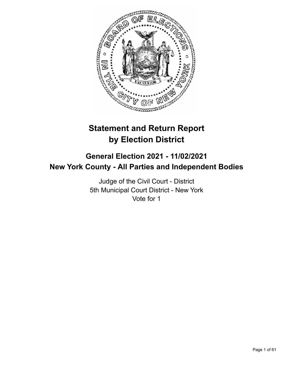

# **Statement and Return Report by Election District**

## **General Election 2021 - 11/02/2021 New York County - All Parties and Independent Bodies**

Judge of the Civil Court - District 5th Municipal Court District - New York Vote for 1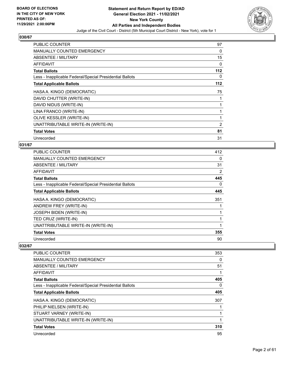

| <b>PUBLIC COUNTER</b>                                    | 97       |
|----------------------------------------------------------|----------|
| <b>MANUALLY COUNTED EMERGENCY</b>                        | 0        |
| ABSENTEE / MILITARY                                      | 15       |
| AFFIDAVIT                                                | $\Omega$ |
| <b>Total Ballots</b>                                     | 112      |
| Less - Inapplicable Federal/Special Presidential Ballots | 0        |
| <b>Total Applicable Ballots</b>                          | 112      |
| HASA A. KINGO (DEMOCRATIC)                               | 75       |
| DAVID CHUTTER (WRITE-IN)                                 |          |
| DAVID NIDUS (WRITE-IN)                                   |          |
| LINA FRANCO (WRITE-IN)                                   |          |
| OLIVE KESSLER (WRITE-IN)                                 | 1        |
| UNATTRIBUTABLE WRITE-IN (WRITE-IN)                       | 2        |
| <b>Total Votes</b>                                       | 81       |
| Unrecorded                                               | 31       |

## **031/67**

| <b>PUBLIC COUNTER</b>                                    | 412 |
|----------------------------------------------------------|-----|
| <b>MANUALLY COUNTED EMERGENCY</b>                        | 0   |
| ABSENTEE / MILITARY                                      | 31  |
| AFFIDAVIT                                                | 2   |
| <b>Total Ballots</b>                                     | 445 |
| Less - Inapplicable Federal/Special Presidential Ballots | 0   |
| <b>Total Applicable Ballots</b>                          | 445 |
| HASA A. KINGO (DEMOCRATIC)                               | 351 |
| ANDREW FREY (WRITE-IN)                                   |     |
| <b>JOSEPH BIDEN (WRITE-IN)</b>                           |     |
| TED CRUZ (WRITE-IN)                                      |     |
| UNATTRIBUTABLE WRITE-IN (WRITE-IN)                       |     |
| <b>Total Votes</b>                                       | 355 |
| Unrecorded                                               | 90  |

| 353 |
|-----|
| 0   |
| 51  |
|     |
| 405 |
| 0   |
| 405 |
| 307 |
|     |
|     |
|     |
| 310 |
| 95  |
|     |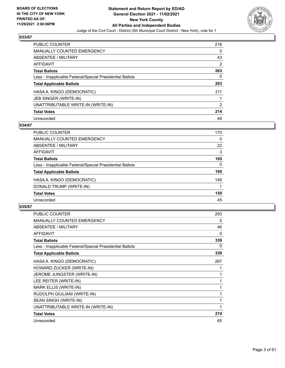

| <b>PUBLIC COUNTER</b>                                    | 218            |
|----------------------------------------------------------|----------------|
| <b>MANUALLY COUNTED EMERGENCY</b>                        | 0              |
| ABSENTEE / MILITARY                                      | 43             |
| AFFIDAVIT                                                | 2              |
| <b>Total Ballots</b>                                     | 263            |
| Less - Inapplicable Federal/Special Presidential Ballots | 0              |
| <b>Total Applicable Ballots</b>                          | 263            |
| HASA A. KINGO (DEMOCRATIC)                               | 211            |
| JEB SINGER (WRITE-IN)                                    |                |
| UNATTRIBUTABLE WRITE-IN (WRITE-IN)                       | $\overline{2}$ |
| <b>Total Votes</b>                                       | 214            |
| Unrecorded                                               | 49             |

## **034/67**

| <b>PUBLIC COUNTER</b>                                    | 170      |
|----------------------------------------------------------|----------|
| <b>MANUALLY COUNTED EMERGENCY</b>                        | $\Omega$ |
| ABSENTEE / MILITARY                                      | 22       |
| <b>AFFIDAVIT</b>                                         | 3        |
| <b>Total Ballots</b>                                     | 195      |
| Less - Inapplicable Federal/Special Presidential Ballots | $\Omega$ |
| <b>Total Applicable Ballots</b>                          | 195      |
| HASA A. KINGO (DEMOCRATIC)                               | 149      |
| DONALD TRUMP (WRITE-IN)                                  |          |
| <b>Total Votes</b>                                       | 150      |
| Unrecorded                                               | 45       |
|                                                          |          |

| <b>PUBLIC COUNTER</b>                                    | 293 |
|----------------------------------------------------------|-----|
| <b>MANUALLY COUNTED EMERGENCY</b>                        | 0   |
| ABSENTEE / MILITARY                                      | 46  |
| <b>AFFIDAVIT</b>                                         | 0   |
| <b>Total Ballots</b>                                     | 339 |
| Less - Inapplicable Federal/Special Presidential Ballots | 0   |
| <b>Total Applicable Ballots</b>                          | 339 |
| HASA A. KINGO (DEMOCRATIC)                               | 267 |
| HOWARD ZUCKER (WRITE-IN)                                 |     |
| JEROME JUNGSTER (WRITE-IN)                               | 1   |
| LEE REITER (WRITE-IN)                                    | 1   |
| MARK ELLIS (WRITE-IN)                                    | 1   |
| RUDOLPH GIULIANI (WRITE-IN)                              | 1   |
| SEAN SINGH (WRITE-IN)                                    | 1   |
| UNATTRIBUTABLE WRITE-IN (WRITE-IN)                       | 1   |
| <b>Total Votes</b>                                       | 274 |
| Unrecorded                                               | 65  |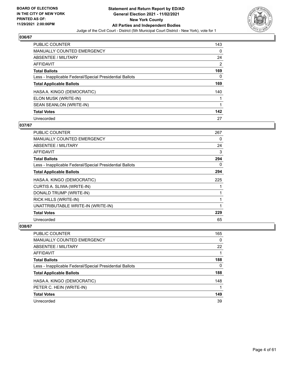

| <b>PUBLIC COUNTER</b>                                    | 143 |
|----------------------------------------------------------|-----|
| <b>MANUALLY COUNTED EMERGENCY</b>                        | 0   |
| ABSENTEE / MILITARY                                      | 24  |
| AFFIDAVIT                                                | 2   |
| <b>Total Ballots</b>                                     | 169 |
| Less - Inapplicable Federal/Special Presidential Ballots | 0   |
| <b>Total Applicable Ballots</b>                          | 169 |
| HASA A. KINGO (DEMOCRATIC)                               | 140 |
| ELON MUSK (WRITE-IN)                                     |     |
| SEAN SEANLON (WRITE-IN)                                  |     |
| <b>Total Votes</b>                                       | 142 |
| Unrecorded                                               | 27  |

## **037/67**

| <b>PUBLIC COUNTER</b>                                    | 267 |
|----------------------------------------------------------|-----|
| MANUALLY COUNTED EMERGENCY                               | 0   |
| ABSENTEE / MILITARY                                      | 24  |
| AFFIDAVIT                                                | 3   |
| <b>Total Ballots</b>                                     | 294 |
| Less - Inapplicable Federal/Special Presidential Ballots | 0   |
| <b>Total Applicable Ballots</b>                          | 294 |
| HASA A. KINGO (DEMOCRATIC)                               | 225 |
| CURTIS A. SLIWA (WRITE-IN)                               |     |
| DONALD TRUMP (WRITE-IN)                                  |     |
| RICK HILLS (WRITE-IN)                                    | 1   |
| UNATTRIBUTABLE WRITE-IN (WRITE-IN)                       | 1   |
| <b>Total Votes</b>                                       | 229 |
| Unrecorded                                               | 65  |

| PUBLIC COUNTER                                           | 165 |
|----------------------------------------------------------|-----|
| MANUALLY COUNTED EMERGENCY                               | 0   |
| ABSENTEE / MILITARY                                      | 22  |
| AFFIDAVIT                                                |     |
| <b>Total Ballots</b>                                     | 188 |
| Less - Inapplicable Federal/Special Presidential Ballots | 0   |
| <b>Total Applicable Ballots</b>                          | 188 |
| HASA A. KINGO (DEMOCRATIC)                               | 148 |
| PETER C. HEIN (WRITE-IN)                                 |     |
| <b>Total Votes</b>                                       | 149 |
| Unrecorded                                               | 39  |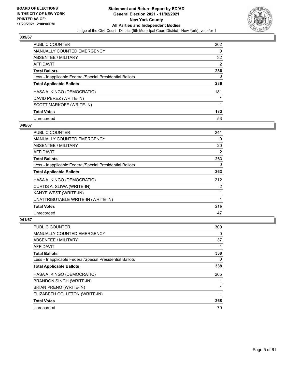

| <b>PUBLIC COUNTER</b>                                    | 202 |
|----------------------------------------------------------|-----|
| <b>MANUALLY COUNTED EMERGENCY</b>                        | 0   |
| ABSENTEE / MILITARY                                      | 32  |
| AFFIDAVIT                                                | 2   |
| <b>Total Ballots</b>                                     | 236 |
| Less - Inapplicable Federal/Special Presidential Ballots | 0   |
| <b>Total Applicable Ballots</b>                          | 236 |
| HASA A. KINGO (DEMOCRATIC)                               | 181 |
| DAVID PEREZ (WRITE-IN)                                   |     |
| SCOTT MARKOFF (WRITE-IN)                                 |     |
| <b>Total Votes</b>                                       | 183 |
| Unrecorded                                               | 53  |

## **040/67**

| <b>PUBLIC COUNTER</b>                                    | 241 |
|----------------------------------------------------------|-----|
| <b>MANUALLY COUNTED EMERGENCY</b>                        | 0   |
| ABSENTEE / MILITARY                                      | 20  |
| AFFIDAVIT                                                | 2   |
| <b>Total Ballots</b>                                     | 263 |
| Less - Inapplicable Federal/Special Presidential Ballots | 0   |
| <b>Total Applicable Ballots</b>                          | 263 |
| HASA A. KINGO (DEMOCRATIC)                               | 212 |
| CURTIS A. SLIWA (WRITE-IN)                               | 2   |
| KANYE WEST (WRITE-IN)                                    |     |
| UNATTRIBUTABLE WRITE-IN (WRITE-IN)                       |     |
| <b>Total Votes</b>                                       | 216 |
| Unrecorded                                               | 47  |

| <b>PUBLIC COUNTER</b>                                    | 300 |
|----------------------------------------------------------|-----|
| MANUALLY COUNTED EMERGENCY                               | 0   |
| ABSENTEE / MILITARY                                      | 37  |
| AFFIDAVIT                                                |     |
| <b>Total Ballots</b>                                     | 338 |
| Less - Inapplicable Federal/Special Presidential Ballots | 0   |
| <b>Total Applicable Ballots</b>                          | 338 |
| HASA A. KINGO (DEMOCRATIC)                               | 265 |
| <b>BRANDON SINGH (WRITE-IN)</b>                          |     |
| <b>BRIAN PRENO (WRITE-IN)</b>                            |     |
| ELIZABETH COLLETON (WRITE-IN)                            |     |
| <b>Total Votes</b>                                       | 268 |
| Unrecorded                                               | 70  |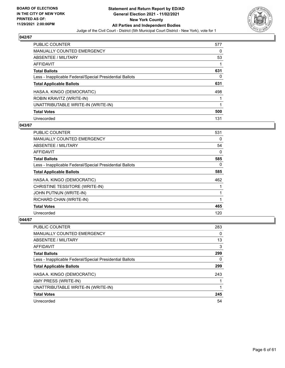

| <b>PUBLIC COUNTER</b>                                    | 577 |
|----------------------------------------------------------|-----|
| <b>MANUALLY COUNTED EMERGENCY</b>                        | 0   |
| ABSENTEE / MILITARY                                      | 53  |
| <b>AFFIDAVIT</b>                                         |     |
| <b>Total Ballots</b>                                     | 631 |
| Less - Inapplicable Federal/Special Presidential Ballots | 0   |
| <b>Total Applicable Ballots</b>                          | 631 |
| HASA A. KINGO (DEMOCRATIC)                               | 498 |
| ROBIN KRAVITZ (WRITE-IN)                                 |     |
| UNATTRIBUTABLE WRITE-IN (WRITE-IN)                       |     |
| <b>Total Votes</b>                                       | 500 |
| Unrecorded                                               | 131 |

## **043/67**

| PUBLIC COUNTER                                           | 531      |
|----------------------------------------------------------|----------|
| <b>MANUALLY COUNTED EMERGENCY</b>                        | 0        |
| ABSENTEE / MILITARY                                      | 54       |
| AFFIDAVIT                                                | 0        |
| <b>Total Ballots</b>                                     | 585      |
| Less - Inapplicable Federal/Special Presidential Ballots | $\Omega$ |
| <b>Total Applicable Ballots</b>                          | 585      |
| HASA A. KINGO (DEMOCRATIC)                               | 462      |
| CHRISTINE TESSITORE (WRITE-IN)                           |          |
| JOHN PUTNUN (WRITE-IN)                                   |          |
| RICHARD CHAN (WRITE-IN)                                  |          |
| <b>Total Votes</b>                                       | 465      |
| Unrecorded                                               | 120      |

| <b>PUBLIC COUNTER</b>                                    | 283 |
|----------------------------------------------------------|-----|
| <b>MANUALLY COUNTED EMERGENCY</b>                        | 0   |
| ABSENTEE / MILITARY                                      | 13  |
| AFFIDAVIT                                                | 3   |
| <b>Total Ballots</b>                                     | 299 |
| Less - Inapplicable Federal/Special Presidential Ballots | 0   |
| <b>Total Applicable Ballots</b>                          | 299 |
| HASA A. KINGO (DEMOCRATIC)                               | 243 |
| AMY PRESS (WRITE-IN)                                     |     |
| UNATTRIBUTABLE WRITE-IN (WRITE-IN)                       |     |
| <b>Total Votes</b>                                       | 245 |
| Unrecorded                                               | 54  |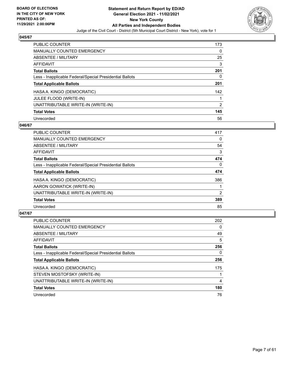

| <b>PUBLIC COUNTER</b>                                    | 173            |
|----------------------------------------------------------|----------------|
| <b>MANUALLY COUNTED EMERGENCY</b>                        | 0              |
| ABSENTEE / MILITARY                                      | 25             |
| <b>AFFIDAVIT</b>                                         | 3              |
| <b>Total Ballots</b>                                     | 201            |
| Less - Inapplicable Federal/Special Presidential Ballots | 0              |
| <b>Total Applicable Ballots</b>                          | 201            |
| HASA A. KINGO (DEMOCRATIC)                               | 142            |
| JULEE FLOOD (WRITE-IN)                                   |                |
| UNATTRIBUTABLE WRITE-IN (WRITE-IN)                       | $\overline{2}$ |
| <b>Total Votes</b>                                       | 145            |
| Unrecorded                                               | 56             |

## **046/67**

| <b>PUBLIC COUNTER</b>                                    | 417            |
|----------------------------------------------------------|----------------|
| <b>MANUALLY COUNTED EMERGENCY</b>                        | 0              |
| ABSENTEE / MILITARY                                      | 54             |
| <b>AFFIDAVIT</b>                                         | 3              |
| <b>Total Ballots</b>                                     | 474            |
| Less - Inapplicable Federal/Special Presidential Ballots | $\Omega$       |
| <b>Total Applicable Ballots</b>                          | 474            |
| HASA A. KINGO (DEMOCRATIC)                               | 386            |
| AARON GOWATICK (WRITE-IN)                                |                |
| UNATTRIBUTABLE WRITE-IN (WRITE-IN)                       | $\overline{2}$ |
| <b>Total Votes</b>                                       | 389            |
| Unrecorded                                               | 85             |

| <b>PUBLIC COUNTER</b>                                    | 202      |
|----------------------------------------------------------|----------|
| <b>MANUALLY COUNTED EMERGENCY</b>                        | 0        |
| ABSENTEE / MILITARY                                      | 49       |
| <b>AFFIDAVIT</b>                                         | 5        |
| <b>Total Ballots</b>                                     | 256      |
| Less - Inapplicable Federal/Special Presidential Ballots | $\Omega$ |
| <b>Total Applicable Ballots</b>                          | 256      |
| HASA A. KINGO (DEMOCRATIC)                               | 175      |
| STEVEN MOSTOFSKY (WRITE-IN)                              |          |
| UNATTRIBUTABLE WRITE-IN (WRITE-IN)                       | 4        |
| <b>Total Votes</b>                                       | 180      |
| Unrecorded                                               | 76       |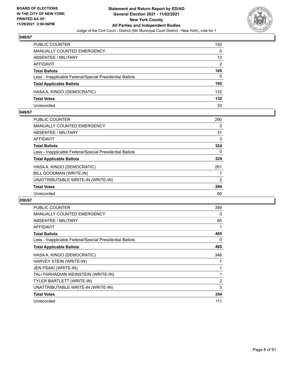

| <b>PUBLIC COUNTER</b>                                    | 150 |
|----------------------------------------------------------|-----|
| <b>MANUALLY COUNTED EMERGENCY</b>                        | 0   |
| <b>ABSENTEE / MILITARY</b>                               | 13  |
| AFFIDAVIT                                                | 2   |
| <b>Total Ballots</b>                                     | 165 |
| Less - Inapplicable Federal/Special Presidential Ballots | 0   |
| <b>Total Applicable Ballots</b>                          | 165 |
| HASA A. KINGO (DEMOCRATIC)                               | 132 |
| <b>Total Votes</b>                                       | 132 |
| Unrecorded                                               | 33  |

## **049/67**

| PUBLIC COUNTER                                           | 290      |
|----------------------------------------------------------|----------|
| <b>MANUALLY COUNTED EMERGENCY</b>                        | 0        |
| ABSENTEE / MILITARY                                      | 31       |
| AFFIDAVIT                                                | 3        |
| <b>Total Ballots</b>                                     | 324      |
| Less - Inapplicable Federal/Special Presidential Ballots | $\Omega$ |
| <b>Total Applicable Ballots</b>                          | 324      |
| HASA A. KINGO (DEMOCRATIC)                               | 261      |
| BILL GOODMAN (WRITE-IN)                                  |          |
| UNATTRIBUTABLE WRITE-IN (WRITE-IN)                       | 2        |
| <b>Total Votes</b>                                       | 264      |
| Unrecorded                                               | 60       |
|                                                          |          |

| <b>PUBLIC COUNTER</b>                                    | 399            |
|----------------------------------------------------------|----------------|
| <b>MANUALLY COUNTED EMERGENCY</b>                        | 0              |
| ABSENTEE / MILITARY                                      | 65             |
| <b>AFFIDAVIT</b>                                         | 1              |
| <b>Total Ballots</b>                                     | 465            |
| Less - Inapplicable Federal/Special Presidential Ballots | 0              |
| <b>Total Applicable Ballots</b>                          | 465            |
| HASA A. KINGO (DEMOCRATIC)                               | 346            |
| HARVEY STEIN (WRITE-IN)                                  |                |
| <b>JEN PSAKI (WRITE-IN)</b>                              |                |
| TALI FARHADIAN WEINSTEIN (WRITE-IN)                      |                |
| TYLER BARTLETT (WRITE-IN)                                | $\overline{2}$ |
| UNATTRIBUTABLE WRITE-IN (WRITE-IN)                       | 3              |
| <b>Total Votes</b>                                       | 354            |
| Unrecorded                                               | 111            |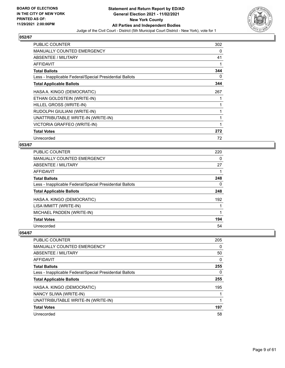

| <b>PUBLIC COUNTER</b>                                    | 302 |
|----------------------------------------------------------|-----|
| <b>MANUALLY COUNTED EMERGENCY</b>                        | 0   |
| ABSENTEE / MILITARY                                      | 41  |
| AFFIDAVIT                                                |     |
| <b>Total Ballots</b>                                     | 344 |
| Less - Inapplicable Federal/Special Presidential Ballots | 0   |
| <b>Total Applicable Ballots</b>                          | 344 |
| HASA A. KINGO (DEMOCRATIC)                               | 267 |
| ETHAN GOLDSTEIN (WRITE-IN)                               |     |
| HILLEL GROSS (WRITE-IN)                                  |     |
| RUDOLPH GIULIANI (WRITE-IN)                              |     |
| UNATTRIBUTABLE WRITE-IN (WRITE-IN)                       |     |
| VICTORIA GRAFFEO (WRITE-IN)                              |     |
| <b>Total Votes</b>                                       | 272 |
| Unrecorded                                               | 72  |

## **053/67**

| <b>PUBLIC COUNTER</b>                                    | 220 |
|----------------------------------------------------------|-----|
| <b>MANUALLY COUNTED EMERGENCY</b>                        | 0   |
| ABSENTEE / MILITARY                                      | 27  |
| AFFIDAVIT                                                |     |
| <b>Total Ballots</b>                                     | 248 |
| Less - Inapplicable Federal/Special Presidential Ballots | 0   |
| <b>Total Applicable Ballots</b>                          | 248 |
| HASA A. KINGO (DEMOCRATIC)                               | 192 |
| LISA IMMITT (WRITE-IN)                                   |     |
| MICHAEL PADDEN (WRITE-IN)                                |     |
| <b>Total Votes</b>                                       | 194 |
| Unrecorded                                               | 54  |

| <b>PUBLIC COUNTER</b>                                    | 205      |
|----------------------------------------------------------|----------|
| <b>MANUALLY COUNTED EMERGENCY</b>                        | $\Omega$ |
| ABSENTEE / MILITARY                                      | 50       |
| <b>AFFIDAVIT</b>                                         | $\Omega$ |
| <b>Total Ballots</b>                                     | 255      |
| Less - Inapplicable Federal/Special Presidential Ballots | $\Omega$ |
| <b>Total Applicable Ballots</b>                          | 255      |
| HASA A. KINGO (DEMOCRATIC)                               | 195      |
| NANCY SLIWA (WRITE-IN)                                   |          |
| UNATTRIBUTABLE WRITE-IN (WRITE-IN)                       |          |
| <b>Total Votes</b>                                       | 197      |
| Unrecorded                                               | 58       |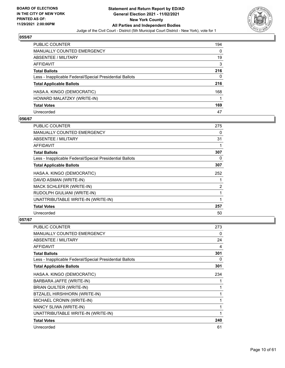

| PUBLIC COUNTER                                           | 194 |
|----------------------------------------------------------|-----|
| <b>MANUALLY COUNTED EMERGENCY</b>                        | 0   |
| ABSENTEE / MILITARY                                      | 19  |
| AFFIDAVIT                                                | 3   |
| <b>Total Ballots</b>                                     | 216 |
| Less - Inapplicable Federal/Special Presidential Ballots | 0   |
| <b>Total Applicable Ballots</b>                          | 216 |
| HASA A. KINGO (DEMOCRATIC)                               | 168 |
| HOWARD MALATZKY (WRITE-IN)                               |     |
| <b>Total Votes</b>                                       | 169 |
| Unrecorded                                               | 47  |

## **056/67**

| <b>PUBLIC COUNTER</b>                                    | 275 |
|----------------------------------------------------------|-----|
| <b>MANUALLY COUNTED EMERGENCY</b>                        | 0   |
| <b>ABSENTEE / MILITARY</b>                               | 31  |
| <b>AFFIDAVIT</b>                                         |     |
| <b>Total Ballots</b>                                     | 307 |
| Less - Inapplicable Federal/Special Presidential Ballots | 0   |
| <b>Total Applicable Ballots</b>                          | 307 |
| HASA A. KINGO (DEMOCRATIC)                               | 252 |
| DAVID ASMAN (WRITE-IN)                                   |     |
| MACK SCHLEFER (WRITE-IN)                                 | 2   |
| RUDOLPH GIULIANI (WRITE-IN)                              |     |
| UNATTRIBUTABLE WRITE-IN (WRITE-IN)                       |     |
| <b>Total Votes</b>                                       | 257 |
| Unrecorded                                               | 50  |

| <b>PUBLIC COUNTER</b>                                    | 273 |
|----------------------------------------------------------|-----|
| <b>MANUALLY COUNTED EMERGENCY</b>                        | 0   |
| ABSENTEE / MILITARY                                      | 24  |
| <b>AFFIDAVIT</b>                                         | 4   |
| <b>Total Ballots</b>                                     | 301 |
| Less - Inapplicable Federal/Special Presidential Ballots | 0   |
| <b>Total Applicable Ballots</b>                          | 301 |
| HASA A. KINGO (DEMOCRATIC)                               | 234 |
| BARBARA JAFFE (WRITE-IN)                                 |     |
| BRIAN QUILTER (WRITE-IN)                                 | 1   |
| BTZALEL HIRSHHORN (WRITE-IN)                             | 1   |
| MICHAEL CRONIN (WRITE-IN)                                | 1   |
| NANCY SLIWA (WRITE-IN)                                   | 1   |
| UNATTRIBUTABLE WRITE-IN (WRITE-IN)                       | 1   |
| <b>Total Votes</b>                                       | 240 |
| Unrecorded                                               | 61  |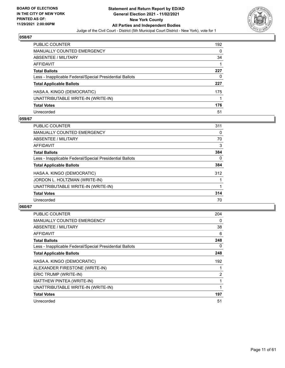

| <b>PUBLIC COUNTER</b>                                    | 192 |
|----------------------------------------------------------|-----|
| MANUALLY COUNTED EMERGENCY                               | 0   |
| <b>ABSENTEE / MILITARY</b>                               | 34  |
| <b>AFFIDAVIT</b>                                         |     |
| <b>Total Ballots</b>                                     | 227 |
| Less - Inapplicable Federal/Special Presidential Ballots | 0   |
| <b>Total Applicable Ballots</b>                          | 227 |
| HASA A. KINGO (DEMOCRATIC)                               | 175 |
| UNATTRIBUTABLE WRITE-IN (WRITE-IN)                       |     |
| <b>Total Votes</b>                                       | 176 |
| Unrecorded                                               | 51  |

## **059/67**

| <b>PUBLIC COUNTER</b>                                    | 311      |
|----------------------------------------------------------|----------|
| MANUALLY COUNTED EMERGENCY                               | 0        |
| ABSENTEE / MILITARY                                      | 70       |
| <b>AFFIDAVIT</b>                                         | 3        |
| <b>Total Ballots</b>                                     | 384      |
| Less - Inapplicable Federal/Special Presidential Ballots | $\Omega$ |
| <b>Total Applicable Ballots</b>                          | 384      |
| HASA A. KINGO (DEMOCRATIC)                               | 312      |
| JORDON L. HOLTZMAN (WRITE-IN)                            |          |
| UNATTRIBUTABLE WRITE-IN (WRITE-IN)                       |          |
| <b>Total Votes</b>                                       | 314      |
| Unrecorded                                               | 70       |

| PUBLIC COUNTER                                           | 204            |
|----------------------------------------------------------|----------------|
| <b>MANUALLY COUNTED EMERGENCY</b>                        | 0              |
| <b>ABSENTEE / MILITARY</b>                               | 38             |
| AFFIDAVIT                                                | 6              |
| <b>Total Ballots</b>                                     | 248            |
| Less - Inapplicable Federal/Special Presidential Ballots | 0              |
| <b>Total Applicable Ballots</b>                          | 248            |
|                                                          |                |
| HASA A. KINGO (DEMOCRATIC)                               | 192            |
| ALEXANDER FIRESTONE (WRITE-IN)                           |                |
| ERIC TRUMP (WRITE-IN)                                    | $\overline{2}$ |
| MATTHEW PINTEA (WRITE-IN)                                |                |
| UNATTRIBUTABLE WRITE-IN (WRITE-IN)                       |                |
| <b>Total Votes</b>                                       | 197            |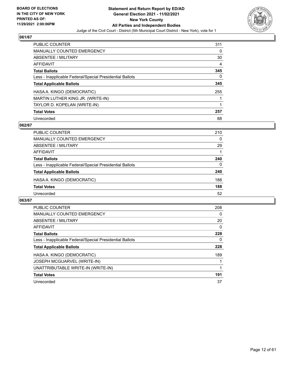

| PUBLIC COUNTER                                           | 311 |
|----------------------------------------------------------|-----|
| <b>MANUALLY COUNTED EMERGENCY</b>                        | 0   |
| ABSENTEE / MILITARY                                      | 30  |
| AFFIDAVIT                                                | 4   |
| <b>Total Ballots</b>                                     | 345 |
| Less - Inapplicable Federal/Special Presidential Ballots | 0   |
| <b>Total Applicable Ballots</b>                          | 345 |
| HASA A. KINGO (DEMOCRATIC)                               | 255 |
| MARTIN LUTHER KING JR. (WRITE-IN)                        |     |
| TAYLOR D. KOPELAN (WRITE-IN)                             |     |
| <b>Total Votes</b>                                       | 257 |
| Unrecorded                                               | 88  |

## **062/67**

| <b>PUBLIC COUNTER</b>                                    | 210      |
|----------------------------------------------------------|----------|
| MANUALLY COUNTED EMERGENCY                               | $\Omega$ |
| ABSENTEE / MILITARY                                      | 29       |
| AFFIDAVIT                                                |          |
| <b>Total Ballots</b>                                     | 240      |
| Less - Inapplicable Federal/Special Presidential Ballots | $\Omega$ |
| <b>Total Applicable Ballots</b>                          | 240      |
| HASA A. KINGO (DEMOCRATIC)                               | 188      |
| <b>Total Votes</b>                                       | 188      |
| Unrecorded                                               | 52       |

| <b>PUBLIC COUNTER</b>                                    | 208 |
|----------------------------------------------------------|-----|
| <b>MANUALLY COUNTED EMERGENCY</b>                        | 0   |
| ABSENTEE / MILITARY                                      | 20  |
| AFFIDAVIT                                                | 0   |
| <b>Total Ballots</b>                                     | 228 |
| Less - Inapplicable Federal/Special Presidential Ballots | 0   |
| <b>Total Applicable Ballots</b>                          | 228 |
| HASA A. KINGO (DEMOCRATIC)                               | 189 |
| <b>JOSEPH MCGUARVEL (WRITE-IN)</b>                       |     |
| UNATTRIBUTABLE WRITE-IN (WRITE-IN)                       |     |
| <b>Total Votes</b>                                       | 191 |
| Unrecorded                                               | 37  |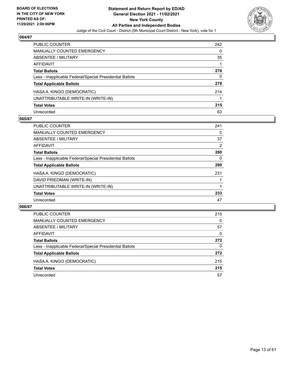

| PUBLIC COUNTER                                           | 242 |
|----------------------------------------------------------|-----|
| MANUALLY COUNTED EMERGENCY                               | 0   |
| ABSENTEE / MILITARY                                      | 35  |
| AFFIDAVIT                                                |     |
| <b>Total Ballots</b>                                     | 278 |
| Less - Inapplicable Federal/Special Presidential Ballots | 0   |
| <b>Total Applicable Ballots</b>                          | 278 |
| HASA A. KINGO (DEMOCRATIC)                               | 214 |
| UNATTRIBUTABLE WRITE-IN (WRITE-IN)                       |     |
| <b>Total Votes</b>                                       | 215 |
| Unrecorded                                               | 63  |

## **065/67**

| <b>PUBLIC COUNTER</b>                                    | 241 |
|----------------------------------------------------------|-----|
| MANUALLY COUNTED EMERGENCY                               | 0   |
| ABSENTEE / MILITARY                                      | 37  |
| AFFIDAVIT                                                | 2   |
| <b>Total Ballots</b>                                     | 280 |
| Less - Inapplicable Federal/Special Presidential Ballots | 0   |
| <b>Total Applicable Ballots</b>                          | 280 |
| HASA A. KINGO (DEMOCRATIC)                               | 231 |
| DAVID FRIEDMAN (WRITE-IN)                                |     |
| UNATTRIBUTABLE WRITE-IN (WRITE-IN)                       |     |
| <b>Total Votes</b>                                       | 233 |
| Unrecorded                                               | 47  |

| <b>PUBLIC COUNTER</b>                                    | 215      |
|----------------------------------------------------------|----------|
| MANUALLY COUNTED EMERGENCY                               | $\Omega$ |
| <b>ABSENTEE / MILITARY</b>                               | 57       |
| AFFIDAVIT                                                | $\Omega$ |
| <b>Total Ballots</b>                                     | 272      |
| Less - Inapplicable Federal/Special Presidential Ballots | 0        |
| <b>Total Applicable Ballots</b>                          | 272      |
| HASA A. KINGO (DEMOCRATIC)                               | 215      |
| <b>Total Votes</b>                                       | 215      |
| Unrecorded                                               | 57       |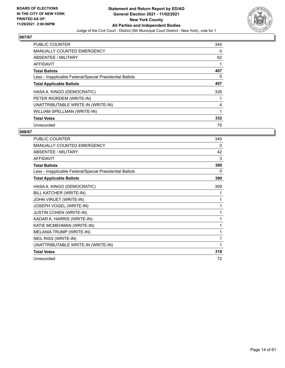

| <b>PUBLIC COUNTER</b>                                    | 344 |
|----------------------------------------------------------|-----|
| <b>MANUALLY COUNTED EMERGENCY</b>                        | 0   |
| ABSENTEE / MILITARY                                      | 62  |
| <b>AFFIDAVIT</b>                                         | 1   |
| <b>Total Ballots</b>                                     | 407 |
| Less - Inapplicable Federal/Special Presidential Ballots | 0   |
| <b>Total Applicable Ballots</b>                          | 407 |
| HASA A. KINGO (DEMOCRATIC)                               | 326 |
| PETER RIORDEM (WRITE-IN)                                 |     |
| UNATTRIBUTABLE WRITE-IN (WRITE-IN)                       | 4   |
| WILLIAM SPELLMAN (WRITE-IN)                              | 1   |
| <b>Total Votes</b>                                       | 332 |
| Unrecorded                                               | 75  |

| PUBLIC COUNTER                                           | 345 |
|----------------------------------------------------------|-----|
| MANUALLY COUNTED EMERGENCY                               | 0   |
| <b>ABSENTEE / MILITARY</b>                               | 42  |
| <b>AFFIDAVIT</b>                                         | 3   |
| <b>Total Ballots</b>                                     | 390 |
| Less - Inapplicable Federal/Special Presidential Ballots | 0   |
| <b>Total Applicable Ballots</b>                          | 390 |
| HASA A. KINGO (DEMOCRATIC)                               | 309 |
| BILL KATCHER (WRITE-IN)                                  | 1   |
| JOHN VIRUET (WRITE-IN)                                   | 1   |
| JOSEPH VOGEL (WRITE-IN)                                  | 1   |
| <b>JUSTIN COHEN (WRITE-IN)</b>                           | 1   |
| KADAR A. HARRIS (WRITE-IN)                               | 1   |
| KATIE MCMEHMAN (WRITE-IN)                                | 1   |
| MELANIA TRUMP (WRITE-IN)                                 | 1   |
| NEIL RISS (WRITE-IN)                                     | 1   |
| UNATTRIBUTABLE WRITE-IN (WRITE-IN)                       | 1   |
| <b>Total Votes</b>                                       | 318 |
| Unrecorded                                               | 72  |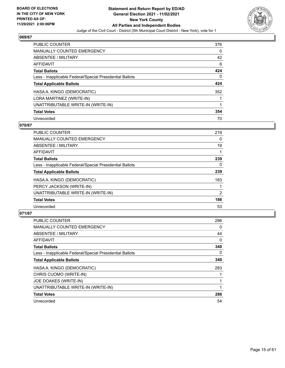

| <b>PUBLIC COUNTER</b>                                    | 376 |
|----------------------------------------------------------|-----|
| <b>MANUALLY COUNTED EMERGENCY</b>                        | 0   |
| ABSENTEE / MILITARY                                      | 42  |
| AFFIDAVIT                                                | 6   |
| <b>Total Ballots</b>                                     | 424 |
| Less - Inapplicable Federal/Special Presidential Ballots | 0   |
| <b>Total Applicable Ballots</b>                          | 424 |
| HASA A. KINGO (DEMOCRATIC)                               | 352 |
| LORA MARTINEZ (WRITE-IN)                                 |     |
| UNATTRIBUTABLE WRITE-IN (WRITE-IN)                       |     |
| <b>Total Votes</b>                                       | 354 |
| Unrecorded                                               | 70  |

## **070/67**

| <b>PUBLIC COUNTER</b>                                    | 219 |
|----------------------------------------------------------|-----|
| <b>MANUALLY COUNTED EMERGENCY</b>                        | 0   |
| <b>ABSENTEE / MILITARY</b>                               | 19  |
| <b>AFFIDAVIT</b>                                         |     |
| <b>Total Ballots</b>                                     | 239 |
| Less - Inapplicable Federal/Special Presidential Ballots | 0   |
| <b>Total Applicable Ballots</b>                          | 239 |
| HASA A. KINGO (DEMOCRATIC)                               | 183 |
| PERCY JACKSON (WRITE-IN)                                 |     |
| UNATTRIBUTABLE WRITE-IN (WRITE-IN)                       | 2   |
| <b>Total Votes</b>                                       | 186 |
| Unrecorded                                               | 53  |

| <b>PUBLIC COUNTER</b>                                    | 296 |
|----------------------------------------------------------|-----|
| <b>MANUALLY COUNTED EMERGENCY</b>                        | 0   |
| ABSENTEE / MILITARY                                      | 44  |
| AFFIDAVIT                                                | 0   |
| <b>Total Ballots</b>                                     | 340 |
| Less - Inapplicable Federal/Special Presidential Ballots | 0   |
| <b>Total Applicable Ballots</b>                          | 340 |
| HASA A. KINGO (DEMOCRATIC)                               | 283 |
| CHRIS CUOMO (WRITE-IN)                                   |     |
| JOE DOAKES (WRITE-IN)                                    |     |
| UNATTRIBUTABLE WRITE-IN (WRITE-IN)                       |     |
| <b>Total Votes</b>                                       | 286 |
| Unrecorded                                               | 54  |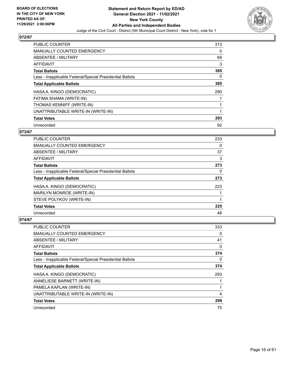

| <b>PUBLIC COUNTER</b>                                    | 313 |
|----------------------------------------------------------|-----|
| <b>MANUALLY COUNTED EMERGENCY</b>                        | 0   |
| ABSENTEE / MILITARY                                      | 69  |
| <b>AFFIDAVIT</b>                                         | 3   |
| <b>Total Ballots</b>                                     | 385 |
| Less - Inapplicable Federal/Special Presidential Ballots | 0   |
| <b>Total Applicable Ballots</b>                          | 385 |
| HASA A. KINGO (DEMOCRATIC)                               | 290 |
| FATIMA SHAMA (WRITE-IN)                                  |     |
| THOMAS KENNIFF (WRITE-IN)                                |     |
| UNATTRIBUTABLE WRITE-IN (WRITE-IN)                       |     |
| <b>Total Votes</b>                                       | 293 |
| Unrecorded                                               | 92  |

## **073/67**

| <b>PUBLIC COUNTER</b>                                    | 233 |
|----------------------------------------------------------|-----|
| <b>MANUALLY COUNTED EMERGENCY</b>                        | 0   |
| <b>ABSENTEE / MILITARY</b>                               | 37  |
| <b>AFFIDAVIT</b>                                         | 3   |
| <b>Total Ballots</b>                                     | 273 |
| Less - Inapplicable Federal/Special Presidential Ballots | 0   |
| <b>Total Applicable Ballots</b>                          | 273 |
| HASA A. KINGO (DEMOCRATIC)                               | 223 |
| MARILYN MONROE (WRITE-IN)                                |     |
| STEVE POLYKOV (WRITE-IN)                                 |     |
| <b>Total Votes</b>                                       | 225 |
| Unrecorded                                               | 48  |

| <b>PUBLIC COUNTER</b>                                    | 333      |
|----------------------------------------------------------|----------|
| MANUALLY COUNTED EMERGENCY                               | 0        |
| ABSENTEE / MILITARY                                      | 41       |
| AFFIDAVIT                                                | 0        |
| <b>Total Ballots</b>                                     | 374      |
| Less - Inapplicable Federal/Special Presidential Ballots | $\Omega$ |
| <b>Total Applicable Ballots</b>                          | 374      |
| HASA A. KINGO (DEMOCRATIC)                               | 293      |
| ANNELIESE BARNETT (WRITE-IN)                             |          |
| PAMELA KAPLAN (WRITE-IN)                                 |          |
| UNATTRIBUTABLE WRITE-IN (WRITE-IN)                       | 4        |
| <b>Total Votes</b>                                       | 299      |
| Unrecorded                                               | 75       |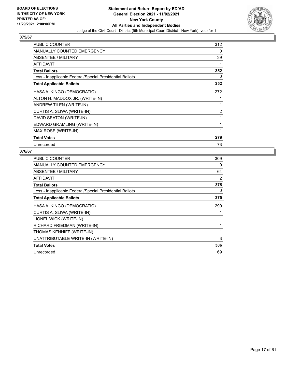

| PUBLIC COUNTER                                           | 312            |
|----------------------------------------------------------|----------------|
| <b>MANUALLY COUNTED EMERGENCY</b>                        | 0              |
| ABSENTEE / MILITARY                                      | 39             |
| <b>AFFIDAVIT</b>                                         | 1              |
| <b>Total Ballots</b>                                     | 352            |
| Less - Inapplicable Federal/Special Presidential Ballots | 0              |
| <b>Total Applicable Ballots</b>                          | 352            |
| HASA A. KINGO (DEMOCRATIC)                               | 272            |
| ALTON H. MADDOX JR. (WRITE-IN)                           | 1              |
| ANDREW TILEN (WRITE-IN)                                  | 1              |
| CURTIS A. SLIWA (WRITE-IN)                               | $\overline{2}$ |
| DAVID SEATON (WRITE-IN)                                  | 1              |
| EDWARD GRAMLING (WRITE-IN)                               | 1              |
| MAX ROSE (WRITE-IN)                                      | 1              |
| <b>Total Votes</b>                                       | 279            |
| Unrecorded                                               | 73             |

| <b>PUBLIC COUNTER</b>                                    | 309          |
|----------------------------------------------------------|--------------|
| <b>MANUALLY COUNTED EMERGENCY</b>                        | 0            |
| ABSENTEE / MILITARY                                      | 64           |
| AFFIDAVIT                                                | 2            |
| <b>Total Ballots</b>                                     | 375          |
| Less - Inapplicable Federal/Special Presidential Ballots | 0            |
| <b>Total Applicable Ballots</b>                          | 375          |
| HASA A. KINGO (DEMOCRATIC)                               | 299          |
| CURTIS A. SLIWA (WRITE-IN)                               |              |
| LIONEL WICK (WRITE-IN)                                   | 1            |
| RICHARD FRIEDMAN (WRITE-IN)                              | $\mathbf{1}$ |
| THOMAS KENNIFF (WRITE-IN)                                | 1            |
| UNATTRIBUTABLE WRITE-IN (WRITE-IN)                       | 3            |
| <b>Total Votes</b>                                       | 306          |
| Unrecorded                                               | 69           |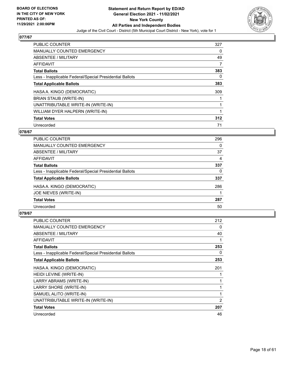

| <b>PUBLIC COUNTER</b>                                    | 327 |
|----------------------------------------------------------|-----|
| <b>MANUALLY COUNTED EMERGENCY</b>                        | 0   |
| ABSENTEE / MILITARY                                      | 49  |
| <b>AFFIDAVIT</b>                                         | 7   |
| <b>Total Ballots</b>                                     | 383 |
| Less - Inapplicable Federal/Special Presidential Ballots | 0   |
| <b>Total Applicable Ballots</b>                          | 383 |
| HASA A. KINGO (DEMOCRATIC)                               | 309 |
| BRIAN STAUB (WRITE-IN)                                   |     |
| UNATTRIBUTABLE WRITE-IN (WRITE-IN)                       |     |
| WILLIAM DYER HALPERN (WRITE-IN)                          | 1   |
| <b>Total Votes</b>                                       | 312 |
| Unrecorded                                               | 71  |

## **078/67**

| <b>PUBLIC COUNTER</b>                                    | 296 |
|----------------------------------------------------------|-----|
| <b>MANUALLY COUNTED EMERGENCY</b>                        | 0   |
| ABSENTEE / MILITARY                                      | 37  |
| AFFIDAVIT                                                | 4   |
| <b>Total Ballots</b>                                     | 337 |
| Less - Inapplicable Federal/Special Presidential Ballots | 0   |
| <b>Total Applicable Ballots</b>                          | 337 |
| HASA A. KINGO (DEMOCRATIC)                               | 286 |
| JOE NIEVES (WRITE-IN)                                    |     |
| <b>Total Votes</b>                                       | 287 |
| Unrecorded                                               | 50  |
|                                                          |     |

| <b>PUBLIC COUNTER</b>                                    | 212 |
|----------------------------------------------------------|-----|
| <b>MANUALLY COUNTED EMERGENCY</b>                        | 0   |
| ABSENTEE / MILITARY                                      | 40  |
| AFFIDAVIT                                                | 1   |
| <b>Total Ballots</b>                                     | 253 |
| Less - Inapplicable Federal/Special Presidential Ballots | 0   |
| <b>Total Applicable Ballots</b>                          | 253 |
| HASA A. KINGO (DEMOCRATIC)                               | 201 |
| HEIDI LEVINE (WRITE-IN)                                  |     |
| LARRY ABRAMS (WRITE-IN)                                  | 1   |
| LARRY SHORE (WRITE-IN)                                   | 1   |
| SAMUEL ALITO (WRITE-IN)                                  | 1   |
| UNATTRIBUTABLE WRITE-IN (WRITE-IN)                       | 2   |
| <b>Total Votes</b>                                       | 207 |
| Unrecorded                                               | 46  |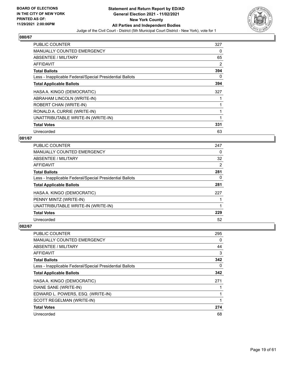

| <b>PUBLIC COUNTER</b>                                    | 327 |
|----------------------------------------------------------|-----|
| <b>MANUALLY COUNTED EMERGENCY</b>                        | 0   |
| <b>ABSENTEE / MILITARY</b>                               | 65  |
| <b>AFFIDAVIT</b>                                         | 2   |
| <b>Total Ballots</b>                                     | 394 |
| Less - Inapplicable Federal/Special Presidential Ballots | 0   |
| <b>Total Applicable Ballots</b>                          | 394 |
| HASA A. KINGO (DEMOCRATIC)                               | 327 |
| ABRAHAM LINCOLN (WRITE-IN)                               |     |
| ROBERT CHAN (WRITE-IN)                                   |     |
| RONALD A. CURRIE (WRITE-IN)                              |     |
| UNATTRIBUTABLE WRITE-IN (WRITE-IN)                       |     |
| <b>Total Votes</b>                                       | 331 |
| Unrecorded                                               | 63  |

## **081/67**

| PUBLIC COUNTER                                           | 247            |
|----------------------------------------------------------|----------------|
| MANUALLY COUNTED EMERGENCY                               | 0              |
| ABSENTEE / MILITARY                                      | 32             |
| AFFIDAVIT                                                | $\overline{2}$ |
| <b>Total Ballots</b>                                     | 281            |
| Less - Inapplicable Federal/Special Presidential Ballots | $\Omega$       |
| <b>Total Applicable Ballots</b>                          | 281            |
| HASA A. KINGO (DEMOCRATIC)                               | 227            |
| PENNY MINTZ (WRITE-IN)                                   |                |
| UNATTRIBUTABLE WRITE-IN (WRITE-IN)                       |                |
| <b>Total Votes</b>                                       | 229            |
| Unrecorded                                               | 52             |

| PUBLIC COUNTER                                           | 295 |
|----------------------------------------------------------|-----|
| MANUALLY COUNTED EMERGENCY                               | 0   |
| ABSENTEE / MILITARY                                      | 44  |
| AFFIDAVIT                                                | 3   |
| <b>Total Ballots</b>                                     | 342 |
| Less - Inapplicable Federal/Special Presidential Ballots | 0   |
| <b>Total Applicable Ballots</b>                          | 342 |
| HASA A. KINGO (DEMOCRATIC)                               | 271 |
| DIANE SANE (WRITE-IN)                                    |     |
| EDWARD L. POWERS, ESQ. (WRITE-IN)                        |     |
| SCOTT REGELMAN (WRITE-IN)                                | 1   |
| <b>Total Votes</b>                                       | 274 |
| Unrecorded                                               | 68  |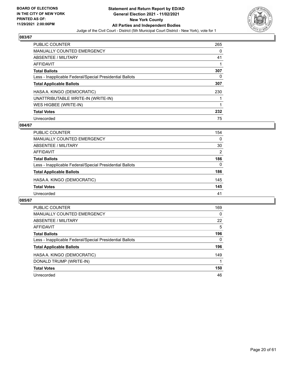

| <b>PUBLIC COUNTER</b>                                    | 265 |
|----------------------------------------------------------|-----|
| <b>MANUALLY COUNTED EMERGENCY</b>                        | 0   |
| ABSENTEE / MILITARY                                      | 41  |
| <b>AFFIDAVIT</b>                                         |     |
| <b>Total Ballots</b>                                     | 307 |
| Less - Inapplicable Federal/Special Presidential Ballots | 0   |
| <b>Total Applicable Ballots</b>                          | 307 |
| HASA A. KINGO (DEMOCRATIC)                               | 230 |
| UNATTRIBUTABLE WRITE-IN (WRITE-IN)                       |     |
| WES HIGBEE (WRITE-IN)                                    |     |
| <b>Total Votes</b>                                       | 232 |
| Unrecorded                                               | 75  |

## **084/67**

| <b>PUBLIC COUNTER</b>                                    | 154      |
|----------------------------------------------------------|----------|
| MANUALLY COUNTED EMERGENCY                               | $\Omega$ |
| ABSENTEE / MILITARY                                      | 30       |
| AFFIDAVIT                                                | 2        |
| <b>Total Ballots</b>                                     | 186      |
| Less - Inapplicable Federal/Special Presidential Ballots | $\Omega$ |
| <b>Total Applicable Ballots</b>                          | 186      |
| HASA A. KINGO (DEMOCRATIC)                               | 145      |
| <b>Total Votes</b>                                       | 145      |
| Unrecorded                                               | 41       |

| <b>PUBLIC COUNTER</b>                                    | 169      |
|----------------------------------------------------------|----------|
| MANUALLY COUNTED EMERGENCY                               | $\Omega$ |
| ABSENTEE / MILITARY                                      | 22       |
| AFFIDAVIT                                                | 5        |
| <b>Total Ballots</b>                                     | 196      |
| Less - Inapplicable Federal/Special Presidential Ballots | $\Omega$ |
| <b>Total Applicable Ballots</b>                          | 196      |
| HASA A. KINGO (DEMOCRATIC)                               | 149      |
| DONALD TRUMP (WRITE-IN)                                  |          |
| <b>Total Votes</b>                                       | 150      |
| Unrecorded                                               | 46       |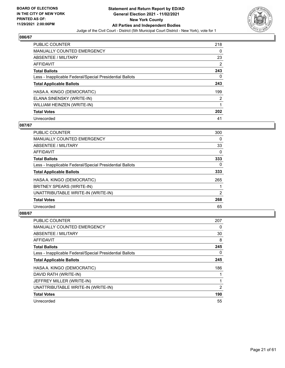

| <b>PUBLIC COUNTER</b>                                    | 218            |
|----------------------------------------------------------|----------------|
| <b>MANUALLY COUNTED EMERGENCY</b>                        | 0              |
| ABSENTEE / MILITARY                                      | 23             |
| AFFIDAVIT                                                | 2              |
| <b>Total Ballots</b>                                     | 243            |
| Less - Inapplicable Federal/Special Presidential Ballots | 0              |
| <b>Total Applicable Ballots</b>                          | 243            |
| HASA A. KINGO (DEMOCRATIC)                               | 199            |
| ELANA SINENSKY (WRITE-IN)                                | $\overline{2}$ |
| WILLIAM HEINZEN (WRITE-IN)                               |                |
| <b>Total Votes</b>                                       | 202            |
| Unrecorded                                               | 41             |

## **087/67**

| <b>PUBLIC COUNTER</b>                                    | 300            |
|----------------------------------------------------------|----------------|
| <b>MANUALLY COUNTED EMERGENCY</b>                        | $\Omega$       |
| ABSENTEE / MILITARY                                      | 33             |
| <b>AFFIDAVIT</b>                                         | $\Omega$       |
| <b>Total Ballots</b>                                     | 333            |
| Less - Inapplicable Federal/Special Presidential Ballots | $\Omega$       |
| <b>Total Applicable Ballots</b>                          | 333            |
| HASA A. KINGO (DEMOCRATIC)                               | 265            |
| BRITNEY SPEARS (WRITE-IN)                                |                |
| UNATTRIBUTABLE WRITE-IN (WRITE-IN)                       | $\overline{2}$ |
| <b>Total Votes</b>                                       | 268            |
| Unrecorded                                               | 65             |

| <b>PUBLIC COUNTER</b>                                    | 207 |
|----------------------------------------------------------|-----|
| <b>MANUALLY COUNTED EMERGENCY</b>                        | 0   |
| ABSENTEE / MILITARY                                      | 30  |
| AFFIDAVIT                                                | 8   |
| <b>Total Ballots</b>                                     | 245 |
| Less - Inapplicable Federal/Special Presidential Ballots | 0   |
| <b>Total Applicable Ballots</b>                          | 245 |
| HASA A. KINGO (DEMOCRATIC)                               | 186 |
| DAVID RATH (WRITE-IN)                                    |     |
| JEFFREY MILLER (WRITE-IN)                                | 1   |
| UNATTRIBUTABLE WRITE-IN (WRITE-IN)                       | 2   |
| <b>Total Votes</b>                                       | 190 |
| Unrecorded                                               | 55  |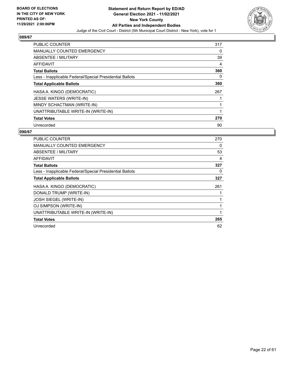

| <b>PUBLIC COUNTER</b>                                    | 317 |
|----------------------------------------------------------|-----|
| <b>MANUALLY COUNTED EMERGENCY</b>                        | 0   |
| ABSENTEE / MILITARY                                      | 39  |
| AFFIDAVIT                                                | 4   |
| <b>Total Ballots</b>                                     | 360 |
| Less - Inapplicable Federal/Special Presidential Ballots | 0   |
| <b>Total Applicable Ballots</b>                          | 360 |
| HASA A. KINGO (DEMOCRATIC)                               | 267 |
| <b>JESSE WATERS (WRITE-IN)</b>                           |     |
| MINDY SCHACTMAN (WRITE-IN)                               |     |
| UNATTRIBUTABLE WRITE-IN (WRITE-IN)                       | 1   |
| <b>Total Votes</b>                                       | 270 |
| Unrecorded                                               | 90  |

| PUBLIC COUNTER                                           | 270 |
|----------------------------------------------------------|-----|
| MANUALLY COUNTED EMERGENCY                               | 0   |
| ABSENTEE / MILITARY                                      | 53  |
| <b>AFFIDAVIT</b>                                         | 4   |
| <b>Total Ballots</b>                                     | 327 |
| Less - Inapplicable Federal/Special Presidential Ballots | 0   |
| <b>Total Applicable Ballots</b>                          | 327 |
| HASA A. KINGO (DEMOCRATIC)                               | 261 |
| DONALD TRUMP (WRITE-IN)                                  |     |
| JOSH SIEGEL (WRITE-IN)                                   |     |
| OJ SIMPSON (WRITE-IN)                                    | 1   |
| UNATTRIBUTABLE WRITE-IN (WRITE-IN)                       | 1   |
| <b>Total Votes</b>                                       | 265 |
| Unrecorded                                               | 62  |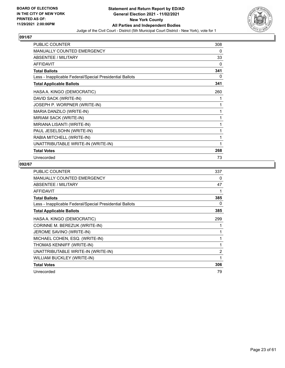

| <b>PUBLIC COUNTER</b>                                    | 308 |
|----------------------------------------------------------|-----|
| MANUALLY COUNTED EMERGENCY                               | 0   |
| ABSENTEE / MILITARY                                      | 33  |
| <b>AFFIDAVIT</b>                                         | 0   |
| <b>Total Ballots</b>                                     | 341 |
| Less - Inapplicable Federal/Special Presidential Ballots | 0   |
| <b>Total Applicable Ballots</b>                          | 341 |
| HASA A. KINGO (DEMOCRATIC)                               | 260 |
| DAVID SACK (WRITE-IN)                                    | 1   |
| JOSEPH P. WORPNER (WRITE-IN)                             | 1   |
| MARIA DANZILO (WRITE-IN)                                 | 1   |
| MIRIAM SACK (WRITE-IN)                                   | 1   |
| MIRIANA LISANTI (WRITE-IN)                               | 1   |
| PAUL JESELSOHN (WRITE-IN)                                | 1   |
| RABIA MITCHELL (WRITE-IN)                                | 1   |
| UNATTRIBUTABLE WRITE-IN (WRITE-IN)                       | 1   |
| <b>Total Votes</b>                                       | 268 |
| Unrecorded                                               | 73  |

| <b>PUBLIC COUNTER</b>                                    | 337            |
|----------------------------------------------------------|----------------|
| <b>MANUALLY COUNTED EMERGENCY</b>                        | 0              |
| ABSENTEE / MILITARY                                      | 47             |
| <b>AFFIDAVIT</b>                                         |                |
| <b>Total Ballots</b>                                     | 385            |
| Less - Inapplicable Federal/Special Presidential Ballots | 0              |
| <b>Total Applicable Ballots</b>                          | 385            |
| HASA A. KINGO (DEMOCRATIC)                               | 299            |
| CORINNE M. BEREZUK (WRITE-IN)                            |                |
| JEROME SAVINO (WRITE-IN)                                 |                |
| MICHAEL COHEN, ESQ. (WRITE-IN)                           |                |
| THOMAS KENNIFF (WRITE-IN)                                | 1              |
| UNATTRIBUTABLE WRITE-IN (WRITE-IN)                       | $\overline{2}$ |
| WILLIAM BUCKLEY (WRITE-IN)                               | 1              |
| <b>Total Votes</b>                                       | 306            |
| Unrecorded                                               | 79             |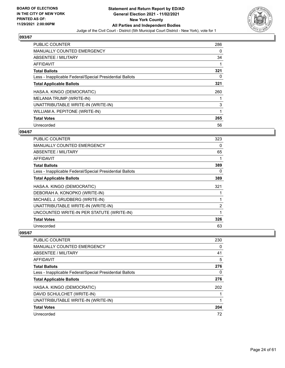

| <b>PUBLIC COUNTER</b>                                    | 286 |
|----------------------------------------------------------|-----|
| <b>MANUALLY COUNTED EMERGENCY</b>                        | 0   |
| ABSENTEE / MILITARY                                      | 34  |
| <b>AFFIDAVIT</b>                                         |     |
| <b>Total Ballots</b>                                     | 321 |
| Less - Inapplicable Federal/Special Presidential Ballots | 0   |
| <b>Total Applicable Ballots</b>                          | 321 |
| HASA A. KINGO (DEMOCRATIC)                               | 260 |
| MELANIA TRUMP (WRITE-IN)                                 |     |
| UNATTRIBUTABLE WRITE-IN (WRITE-IN)                       | 3   |
| WILLIAM A. PEPITONE (WRITE-IN)                           | 1   |
| <b>Total Votes</b>                                       | 265 |
| Unrecorded                                               | 56  |

## **094/67**

| <b>PUBLIC COUNTER</b>                                    | 323 |
|----------------------------------------------------------|-----|
| <b>MANUALLY COUNTED EMERGENCY</b>                        | 0   |
| ABSENTEE / MILITARY                                      | 65  |
| <b>AFFIDAVIT</b>                                         | 1   |
| <b>Total Ballots</b>                                     | 389 |
| Less - Inapplicable Federal/Special Presidential Ballots | 0   |
| <b>Total Applicable Ballots</b>                          | 389 |
| HASA A. KINGO (DEMOCRATIC)                               | 321 |
| DEBORAH A. KONOPKO (WRITE-IN)                            |     |
| MICHAEL J. GRUDBERG (WRITE-IN)                           | 1   |
| UNATTRIBUTABLE WRITE-IN (WRITE-IN)                       | 2   |
| UNCOUNTED WRITE-IN PER STATUTE (WRITE-IN)                | 1   |
| <b>Total Votes</b>                                       | 326 |
| Unrecorded                                               | 63  |

| PUBLIC COUNTER                                           | 230 |
|----------------------------------------------------------|-----|
| <b>MANUALLY COUNTED EMERGENCY</b>                        | 0   |
| <b>ABSENTEE / MILITARY</b>                               | 41  |
| AFFIDAVIT                                                | 5   |
| <b>Total Ballots</b>                                     | 276 |
| Less - Inapplicable Federal/Special Presidential Ballots | 0   |
| <b>Total Applicable Ballots</b>                          | 276 |
| HASA A. KINGO (DEMOCRATIC)                               | 202 |
| DAVID SCHULCHET (WRITE-IN)                               |     |
| UNATTRIBUTABLE WRITE-IN (WRITE-IN)                       |     |
| <b>Total Votes</b>                                       | 204 |
| Unrecorded                                               | 72  |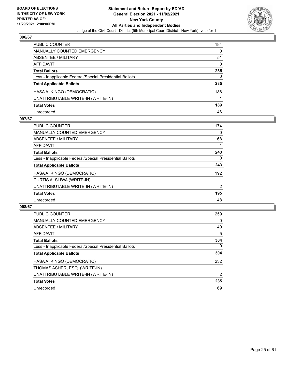

| <b>PUBLIC COUNTER</b>                                    | 184      |
|----------------------------------------------------------|----------|
| <b>MANUALLY COUNTED EMERGENCY</b>                        | 0        |
| ABSENTEE / MILITARY                                      | 51       |
| <b>AFFIDAVIT</b>                                         | $\Omega$ |
| <b>Total Ballots</b>                                     | 235      |
| Less - Inapplicable Federal/Special Presidential Ballots | 0        |
| <b>Total Applicable Ballots</b>                          | 235      |
| HASA A. KINGO (DEMOCRATIC)                               | 188      |
| UNATTRIBUTABLE WRITE-IN (WRITE-IN)                       |          |
| <b>Total Votes</b>                                       | 189      |
| Unrecorded                                               | 46       |

## **097/67**

| <b>PUBLIC COUNTER</b>                                    | 174      |
|----------------------------------------------------------|----------|
| <b>MANUALLY COUNTED EMERGENCY</b>                        | $\Omega$ |
| ABSENTEE / MILITARY                                      | 68       |
| AFFIDAVIT                                                |          |
| <b>Total Ballots</b>                                     | 243      |
| Less - Inapplicable Federal/Special Presidential Ballots | 0        |
| <b>Total Applicable Ballots</b>                          | 243      |
| HASA A. KINGO (DEMOCRATIC)                               | 192      |
| CURTIS A. SLIWA (WRITE-IN)                               |          |
| UNATTRIBUTABLE WRITE-IN (WRITE-IN)                       | 2        |
| <b>Total Votes</b>                                       | 195      |
| Unrecorded                                               | 48       |

| <b>PUBLIC COUNTER</b>                                    | 259 |
|----------------------------------------------------------|-----|
| <b>MANUALLY COUNTED EMERGENCY</b>                        | 0   |
| ABSENTEE / MILITARY                                      | 40  |
| AFFIDAVIT                                                | 5   |
| <b>Total Ballots</b>                                     | 304 |
| Less - Inapplicable Federal/Special Presidential Ballots | 0   |
| <b>Total Applicable Ballots</b>                          | 304 |
| HASA A. KINGO (DEMOCRATIC)                               | 232 |
| THOMAS ASHER, ESQ. (WRITE-IN)                            |     |
| UNATTRIBUTABLE WRITE-IN (WRITE-IN)                       | 2   |
| <b>Total Votes</b>                                       | 235 |
| Unrecorded                                               | 69  |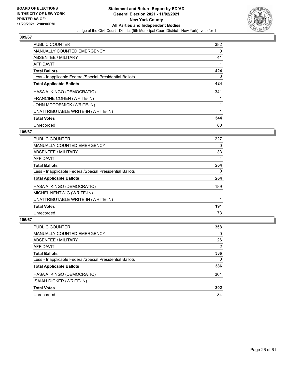

| <b>PUBLIC COUNTER</b>                                    | 382 |
|----------------------------------------------------------|-----|
| <b>MANUALLY COUNTED EMERGENCY</b>                        | 0   |
| ABSENTEE / MILITARY                                      | 41  |
| <b>AFFIDAVIT</b>                                         |     |
| <b>Total Ballots</b>                                     | 424 |
| Less - Inapplicable Federal/Special Presidential Ballots | 0   |
| <b>Total Applicable Ballots</b>                          | 424 |
| HASA A. KINGO (DEMOCRATIC)                               | 341 |
| FRANCINE COHEN (WRITE-IN)                                |     |
| <b>JOHN MCCORMICK (WRITE-IN)</b>                         |     |
| UNATTRIBUTABLE WRITE-IN (WRITE-IN)                       |     |
| <b>Total Votes</b>                                       | 344 |
| Unrecorded                                               | 80  |

## **105/67**

| <b>PUBLIC COUNTER</b>                                    | 227 |
|----------------------------------------------------------|-----|
| <b>MANUALLY COUNTED EMERGENCY</b>                        | 0   |
| ABSENTEE / MILITARY                                      | 33  |
| <b>AFFIDAVIT</b>                                         | 4   |
| <b>Total Ballots</b>                                     | 264 |
| Less - Inapplicable Federal/Special Presidential Ballots | 0   |
| <b>Total Applicable Ballots</b>                          | 264 |
| HASA A. KINGO (DEMOCRATIC)                               | 189 |
| MICHEL NENTWIG (WRITE-IN)                                |     |
| UNATTRIBUTABLE WRITE-IN (WRITE-IN)                       |     |
| <b>Total Votes</b>                                       | 191 |
| Unrecorded                                               | 73  |

| <b>PUBLIC COUNTER</b>                                    | 358      |
|----------------------------------------------------------|----------|
| MANUALLY COUNTED EMERGENCY                               | $\Omega$ |
| ABSENTEE / MILITARY                                      | 26       |
| AFFIDAVIT                                                | 2        |
| <b>Total Ballots</b>                                     | 386      |
| Less - Inapplicable Federal/Special Presidential Ballots | 0        |
| <b>Total Applicable Ballots</b>                          | 386      |
| HASA A. KINGO (DEMOCRATIC)                               | 301      |
| ISAIAH DICKER (WRITE-IN)                                 |          |
| <b>Total Votes</b>                                       | 302      |
| Unrecorded                                               | 84       |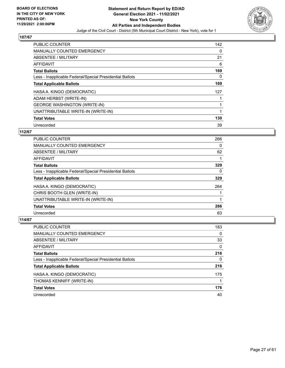

| <b>PUBLIC COUNTER</b>                                    | 142 |
|----------------------------------------------------------|-----|
| <b>MANUALLY COUNTED EMERGENCY</b>                        | 0   |
| ABSENTEE / MILITARY                                      | 21  |
| AFFIDAVIT                                                | 6   |
| <b>Total Ballots</b>                                     | 169 |
| Less - Inapplicable Federal/Special Presidential Ballots | 0   |
| <b>Total Applicable Ballots</b>                          | 169 |
| HASA A. KINGO (DEMOCRATIC)                               | 127 |
| ADAM HERBST (WRITE-IN)                                   |     |
| <b>GEORGE WASHINGTON (WRITE-IN)</b>                      |     |
| UNATTRIBUTABLE WRITE-IN (WRITE-IN)                       | 1   |
| <b>Total Votes</b>                                       | 130 |
| Unrecorded                                               | 39  |

## **112/67**

| <b>PUBLIC COUNTER</b>                                    | 266 |
|----------------------------------------------------------|-----|
| <b>MANUALLY COUNTED EMERGENCY</b>                        | 0   |
| ABSENTEE / MILITARY                                      | 62  |
| <b>AFFIDAVIT</b>                                         |     |
| <b>Total Ballots</b>                                     | 329 |
| Less - Inapplicable Federal/Special Presidential Ballots | 0   |
| <b>Total Applicable Ballots</b>                          | 329 |
| HASA A. KINGO (DEMOCRATIC)                               | 264 |
| CHRIS BOOTH GLEN (WRITE-IN)                              |     |
| UNATTRIBUTABLE WRITE-IN (WRITE-IN)                       |     |
| <b>Total Votes</b>                                       | 266 |
| Unrecorded                                               | 63  |

| <b>PUBLIC COUNTER</b>                                    | 183      |
|----------------------------------------------------------|----------|
| MANUALLY COUNTED EMERGENCY                               | $\Omega$ |
| ABSENTEE / MILITARY                                      | 33       |
| AFFIDAVIT                                                | $\Omega$ |
| <b>Total Ballots</b>                                     | 216      |
| Less - Inapplicable Federal/Special Presidential Ballots | 0        |
| <b>Total Applicable Ballots</b>                          | 216      |
| HASA A. KINGO (DEMOCRATIC)                               | 175      |
| THOMAS KENNIFF (WRITE-IN)                                |          |
| <b>Total Votes</b>                                       | 176      |
| Unrecorded                                               | 40       |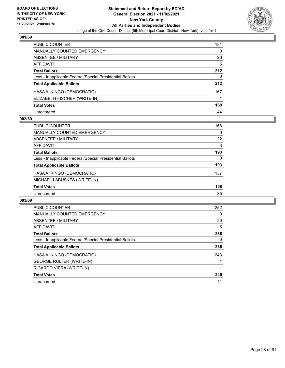

| <b>PUBLIC COUNTER</b>                                    | 181 |
|----------------------------------------------------------|-----|
| <b>MANUALLY COUNTED EMERGENCY</b>                        | 0   |
| ABSENTEE / MILITARY                                      | 26  |
| AFFIDAVIT                                                | 5   |
| <b>Total Ballots</b>                                     | 212 |
| Less - Inapplicable Federal/Special Presidential Ballots | 0   |
| <b>Total Applicable Ballots</b>                          | 212 |
| HASA A. KINGO (DEMOCRATIC)                               | 167 |
| ELIZABETH FISCHER (WRITE-IN)                             |     |
| <b>Total Votes</b>                                       | 168 |
| Unrecorded                                               | 44  |

## **002/69**

| PUBLIC COUNTER                                           | 168      |
|----------------------------------------------------------|----------|
| <b>MANUALLY COUNTED EMERGENCY</b>                        | $\Omega$ |
| ABSENTEE / MILITARY                                      | 22       |
| AFFIDAVIT                                                | 3        |
| <b>Total Ballots</b>                                     | 193      |
| Less - Inapplicable Federal/Special Presidential Ballots | $\Omega$ |
| <b>Total Applicable Ballots</b>                          | 193      |
| HASA A. KINGO (DEMOCRATIC)                               | 157      |
| MICHAEL LABUSKES (WRITE-IN)                              |          |
| <b>Total Votes</b>                                       | 158      |
| Unrecorded                                               | 35       |

| <b>PUBLIC COUNTER</b>                                    | 252 |
|----------------------------------------------------------|-----|
| <b>MANUALLY COUNTED EMERGENCY</b>                        | 0   |
| ABSENTEE / MILITARY                                      | 29  |
| AFFIDAVIT                                                | 5   |
| <b>Total Ballots</b>                                     | 286 |
| Less - Inapplicable Federal/Special Presidential Ballots | 0   |
| <b>Total Applicable Ballots</b>                          | 286 |
| HASA A. KINGO (DEMOCRATIC)                               | 243 |
| <b>GEORGE RULTER (WRITE-IN)</b>                          |     |
| RICARDO VIERA (WRITE-IN)                                 |     |
| <b>Total Votes</b>                                       | 245 |
| Unrecorded                                               | 41  |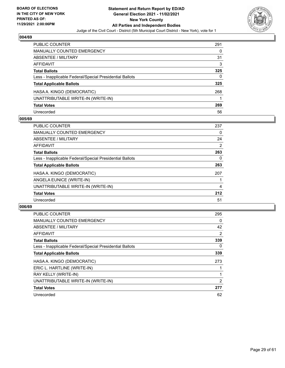

| <b>PUBLIC COUNTER</b>                                    | 291 |
|----------------------------------------------------------|-----|
| <b>MANUALLY COUNTED EMERGENCY</b>                        | 0   |
| ABSENTEE / MILITARY                                      | 31  |
| <b>AFFIDAVIT</b>                                         | 3   |
| <b>Total Ballots</b>                                     | 325 |
| Less - Inapplicable Federal/Special Presidential Ballots | 0   |
| <b>Total Applicable Ballots</b>                          | 325 |
| HASA A. KINGO (DEMOCRATIC)                               | 268 |
| UNATTRIBUTABLE WRITE-IN (WRITE-IN)                       |     |
| <b>Total Votes</b>                                       | 269 |
| Unrecorded                                               | 56  |

## **005/69**

| <b>PUBLIC COUNTER</b>                                    | 237            |
|----------------------------------------------------------|----------------|
| <b>MANUALLY COUNTED EMERGENCY</b>                        | 0              |
| ABSENTEE / MILITARY                                      | 24             |
| AFFIDAVIT                                                | $\overline{2}$ |
| <b>Total Ballots</b>                                     | 263            |
| Less - Inapplicable Federal/Special Presidential Ballots | 0              |
| <b>Total Applicable Ballots</b>                          | 263            |
| HASA A. KINGO (DEMOCRATIC)                               | 207            |
| ANGELA EUNICE (WRITE-IN)                                 |                |
| UNATTRIBUTABLE WRITE-IN (WRITE-IN)                       | 4              |
| <b>Total Votes</b>                                       | 212            |
| Unrecorded                                               | 51             |

| <b>PUBLIC COUNTER</b>                                    | 295 |
|----------------------------------------------------------|-----|
| <b>MANUALLY COUNTED EMERGENCY</b>                        | 0   |
| ABSENTEE / MILITARY                                      | 42  |
| AFFIDAVIT                                                | 2   |
| <b>Total Ballots</b>                                     | 339 |
| Less - Inapplicable Federal/Special Presidential Ballots | 0   |
| <b>Total Applicable Ballots</b>                          | 339 |
| HASA A. KINGO (DEMOCRATIC)                               | 273 |
| ERIC L. HARTLINE (WRITE-IN)                              |     |
| RAY KELLY (WRITE-IN)                                     |     |
| UNATTRIBUTABLE WRITE-IN (WRITE-IN)                       | 2   |
| <b>Total Votes</b>                                       | 277 |
| Unrecorded                                               | 62  |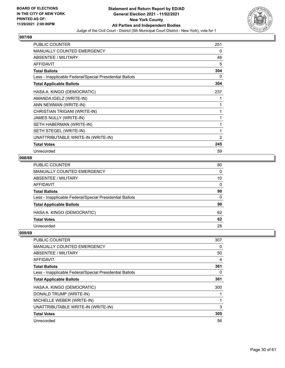

| <b>PUBLIC COUNTER</b>                                    | 251 |
|----------------------------------------------------------|-----|
| <b>MANUALLY COUNTED EMERGENCY</b>                        | 0   |
| <b>ABSENTEE / MILITARY</b>                               | 48  |
| <b>AFFIDAVIT</b>                                         | 5   |
| <b>Total Ballots</b>                                     | 304 |
| Less - Inapplicable Federal/Special Presidential Ballots | 0   |
| <b>Total Applicable Ballots</b>                          | 304 |
| HASA A. KINGO (DEMOCRATIC)                               | 237 |
| AMANDA IGELZ (WRITE-IN)                                  | 1   |
| ANN NEWMAN (WRITE-IN)                                    | 1   |
| CHRISTIAN TRIGANI (WRITE-IN)                             | 1   |
| <b>JAMES NULLY (WRITE-IN)</b>                            | 1   |
| SETH HABERMAN (WRITE-IN)                                 | 1   |
| SETH STEGEL (WRITE-IN)                                   | 1   |
| UNATTRIBUTABLE WRITE-IN (WRITE-IN)                       | 2   |
| <b>Total Votes</b>                                       | 245 |
| Unrecorded                                               | 59  |

## **008/69**

| PUBLIC COUNTER                                           | 80 |
|----------------------------------------------------------|----|
| MANUALLY COUNTED EMERGENCY                               | 0  |
| ABSENTEE / MILITARY                                      | 10 |
| AFFIDAVIT                                                | 0  |
| Total Ballots                                            | 90 |
| Less - Inapplicable Federal/Special Presidential Ballots | 0  |
| <b>Total Applicable Ballots</b>                          | 90 |
| HASA A. KINGO (DEMOCRATIC)                               | 62 |
| Total Votes                                              | 62 |
| Unrecorded                                               | 28 |

| PUBLIC COUNTER                                           | 307 |
|----------------------------------------------------------|-----|
| MANUALLY COUNTED EMERGENCY                               | 0   |
| ABSENTEE / MILITARY                                      | 50  |
| AFFIDAVIT                                                | 4   |
| <b>Total Ballots</b>                                     | 361 |
| Less - Inapplicable Federal/Special Presidential Ballots | 0   |
| <b>Total Applicable Ballots</b>                          | 361 |
| HASA A. KINGO (DEMOCRATIC)                               | 300 |
| DONALD TRUMP (WRITE-IN)                                  |     |
| MICHELLE WEBER (WRITE-IN)                                |     |
| UNATTRIBUTABLE WRITE-IN (WRITE-IN)                       | 3   |
| <b>Total Votes</b>                                       | 305 |
| Unrecorded                                               | 56  |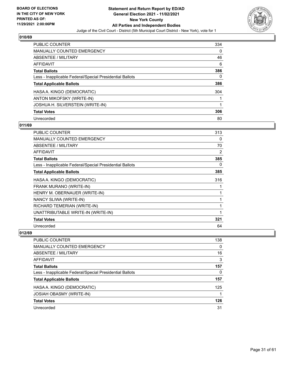

| <b>PUBLIC COUNTER</b>                                    | 334 |
|----------------------------------------------------------|-----|
| <b>MANUALLY COUNTED EMERGENCY</b>                        | 0   |
| ABSENTEE / MILITARY                                      | 46  |
| AFFIDAVIT                                                | 6   |
| <b>Total Ballots</b>                                     | 386 |
| Less - Inapplicable Federal/Special Presidential Ballots | 0   |
| <b>Total Applicable Ballots</b>                          | 386 |
| HASA A. KINGO (DEMOCRATIC)                               | 304 |
| ANTON MIKOFSKY (WRITE-IN)                                |     |
| JOSHUA H. SILVERSTEIN (WRITE-IN)                         |     |
| <b>Total Votes</b>                                       | 306 |
| Unrecorded                                               | 80  |

## **011/69**

| <b>PUBLIC COUNTER</b>                                    | 313 |
|----------------------------------------------------------|-----|
| <b>MANUALLY COUNTED EMERGENCY</b>                        | 0   |
| ABSENTEE / MILITARY                                      | 70  |
| AFFIDAVIT                                                | 2   |
| <b>Total Ballots</b>                                     | 385 |
| Less - Inapplicable Federal/Special Presidential Ballots | 0   |
| <b>Total Applicable Ballots</b>                          | 385 |
| HASA A. KINGO (DEMOCRATIC)                               | 316 |
| FRANK MURANO (WRITE-IN)                                  | 1   |
| HENRY M. OBERNAUER (WRITE-IN)                            | 1   |
| NANCY SLIWA (WRITE-IN)                                   | 1   |
| RICHARD TEMERIAN (WRITE-IN)                              | 1   |
| UNATTRIBUTABLE WRITE-IN (WRITE-IN)                       | 1   |
| <b>Total Votes</b>                                       | 321 |
| Unrecorded                                               | 64  |

| <b>PUBLIC COUNTER</b>                                    | 138      |
|----------------------------------------------------------|----------|
| MANUALLY COUNTED EMERGENCY                               | $\Omega$ |
| ABSENTEE / MILITARY                                      | 16       |
| AFFIDAVIT                                                | 3        |
| <b>Total Ballots</b>                                     | 157      |
| Less - Inapplicable Federal/Special Presidential Ballots | 0        |
| <b>Total Applicable Ballots</b>                          | 157      |
| HASA A. KINGO (DEMOCRATIC)                               | 125      |
| JOSIAH OBASMY (WRITE-IN)                                 |          |
| <b>Total Votes</b>                                       | 126      |
| Unrecorded                                               | 31       |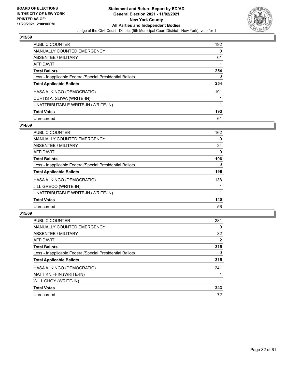

| <b>PUBLIC COUNTER</b>                                    | 192 |
|----------------------------------------------------------|-----|
| <b>MANUALLY COUNTED EMERGENCY</b>                        | 0   |
| ABSENTEE / MILITARY                                      | 61  |
| AFFIDAVIT                                                |     |
| <b>Total Ballots</b>                                     | 254 |
| Less - Inapplicable Federal/Special Presidential Ballots | 0   |
| <b>Total Applicable Ballots</b>                          | 254 |
| HASA A. KINGO (DEMOCRATIC)                               | 191 |
| CURTIS A. SLIWA (WRITE-IN)                               |     |
| UNATTRIBUTABLE WRITE-IN (WRITE-IN)                       |     |
| <b>Total Votes</b>                                       | 193 |
| Unrecorded                                               | 61  |

## **014/69**

| <b>PUBLIC COUNTER</b>                                    | 162      |
|----------------------------------------------------------|----------|
| <b>MANUALLY COUNTED EMERGENCY</b>                        | $\Omega$ |
| ABSENTEE / MILITARY                                      | 34       |
| <b>AFFIDAVIT</b>                                         | $\Omega$ |
| <b>Total Ballots</b>                                     | 196      |
| Less - Inapplicable Federal/Special Presidential Ballots | $\Omega$ |
| <b>Total Applicable Ballots</b>                          | 196      |
| HASA A. KINGO (DEMOCRATIC)                               | 138      |
| JILL GRECO (WRITE-IN)                                    |          |
| UNATTRIBUTABLE WRITE-IN (WRITE-IN)                       |          |
| <b>Total Votes</b>                                       | 140      |
| Unrecorded                                               | 56       |

| <b>PUBLIC COUNTER</b>                                    | 281      |
|----------------------------------------------------------|----------|
| MANUALLY COUNTED EMERGENCY                               | $\Omega$ |
| ABSENTEE / MILITARY                                      | 32       |
| <b>AFFIDAVIT</b>                                         | 2        |
| <b>Total Ballots</b>                                     | 315      |
| Less - Inapplicable Federal/Special Presidential Ballots | $\Omega$ |
| <b>Total Applicable Ballots</b>                          | 315      |
| HASA A. KINGO (DEMOCRATIC)                               | 241      |
| MATT KNIFFIN (WRITE-IN)                                  |          |
| WILL CHOY (WRITE-IN)                                     |          |
| <b>Total Votes</b>                                       | 243      |
| Unrecorded                                               | 72       |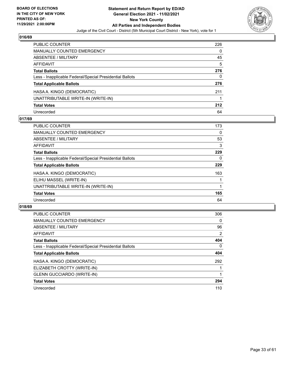

| PUBLIC COUNTER                                           | 226 |
|----------------------------------------------------------|-----|
| <b>MANUALLY COUNTED EMERGENCY</b>                        | 0   |
| ABSENTEE / MILITARY                                      | 45  |
| <b>AFFIDAVIT</b>                                         | 5   |
| <b>Total Ballots</b>                                     | 276 |
| Less - Inapplicable Federal/Special Presidential Ballots | 0   |
| <b>Total Applicable Ballots</b>                          | 276 |
| HASA A. KINGO (DEMOCRATIC)                               | 211 |
| UNATTRIBUTABLE WRITE-IN (WRITE-IN)                       |     |
| <b>Total Votes</b>                                       | 212 |
| Unrecorded                                               | 64  |

## **017/69**

| <b>PUBLIC COUNTER</b>                                    | 173 |
|----------------------------------------------------------|-----|
| MANUALLY COUNTED EMERGENCY                               | 0   |
| ABSENTEE / MILITARY                                      | 53  |
| AFFIDAVIT                                                | 3   |
| <b>Total Ballots</b>                                     | 229 |
| Less - Inapplicable Federal/Special Presidential Ballots | 0   |
| <b>Total Applicable Ballots</b>                          | 229 |
| HASA A. KINGO (DEMOCRATIC)                               | 163 |
| ELIHU MASSEL (WRITE-IN)                                  |     |
| UNATTRIBUTABLE WRITE-IN (WRITE-IN)                       |     |
| <b>Total Votes</b>                                       | 165 |
| Unrecorded                                               | 64  |

| <b>PUBLIC COUNTER</b>                                    | 306            |
|----------------------------------------------------------|----------------|
| <b>MANUALLY COUNTED EMERGENCY</b>                        | $\Omega$       |
| ABSENTEE / MILITARY                                      | 96             |
| AFFIDAVIT                                                | $\overline{2}$ |
| <b>Total Ballots</b>                                     | 404            |
| Less - Inapplicable Federal/Special Presidential Ballots | $\Omega$       |
| <b>Total Applicable Ballots</b>                          | 404            |
| HASA A. KINGO (DEMOCRATIC)                               | 292            |
| ELIZABETH CROTTY (WRITE-IN)                              |                |
| <b>GLENN GUCCIARDO (WRITE-IN)</b>                        |                |
| <b>Total Votes</b>                                       | 294            |
| Unrecorded                                               | 110            |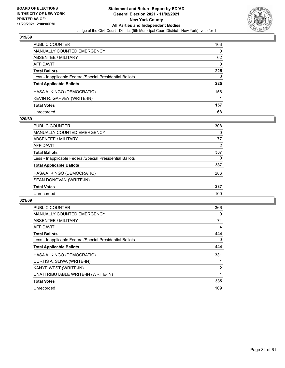

| PUBLIC COUNTER                                           | 163 |
|----------------------------------------------------------|-----|
| <b>MANUALLY COUNTED EMERGENCY</b>                        | 0   |
| ABSENTEE / MILITARY                                      | 62  |
| AFFIDAVIT                                                | 0   |
| <b>Total Ballots</b>                                     | 225 |
| Less - Inapplicable Federal/Special Presidential Ballots | 0   |
| <b>Total Applicable Ballots</b>                          | 225 |
| HASA A. KINGO (DEMOCRATIC)                               | 156 |
| KEVIN R. GARVEY (WRITE-IN)                               |     |
| <b>Total Votes</b>                                       | 157 |
| Unrecorded                                               | 68  |

## **020/69**

| PUBLIC COUNTER                                           | 308 |
|----------------------------------------------------------|-----|
| <b>MANUALLY COUNTED EMERGENCY</b>                        | 0   |
| ABSENTEE / MILITARY                                      | 77  |
| AFFIDAVIT                                                | 2   |
| <b>Total Ballots</b>                                     | 387 |
| Less - Inapplicable Federal/Special Presidential Ballots | 0   |
| <b>Total Applicable Ballots</b>                          | 387 |
| HASA A. KINGO (DEMOCRATIC)                               | 286 |
| SEAN DONOVAN (WRITE-IN)                                  |     |
| <b>Total Votes</b>                                       | 287 |
| Unrecorded                                               | 100 |

| <b>PUBLIC COUNTER</b>                                    | 366            |
|----------------------------------------------------------|----------------|
| <b>MANUALLY COUNTED EMERGENCY</b>                        | 0              |
| ABSENTEE / MILITARY                                      | 74             |
| <b>AFFIDAVIT</b>                                         | 4              |
| <b>Total Ballots</b>                                     | 444            |
| Less - Inapplicable Federal/Special Presidential Ballots | 0              |
| <b>Total Applicable Ballots</b>                          | 444            |
| HASA A. KINGO (DEMOCRATIC)                               | 331            |
| CURTIS A. SLIWA (WRITE-IN)                               |                |
| KANYE WEST (WRITE-IN)                                    | $\overline{2}$ |
| UNATTRIBUTABLE WRITE-IN (WRITE-IN)                       |                |
| <b>Total Votes</b>                                       | 335            |
| Unrecorded                                               | 109            |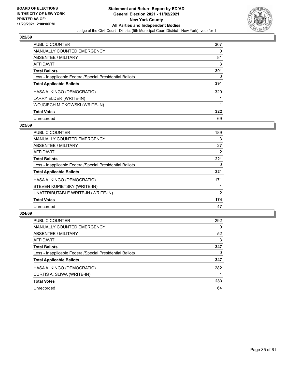

| <b>PUBLIC COUNTER</b>                                    | 307 |
|----------------------------------------------------------|-----|
| <b>MANUALLY COUNTED EMERGENCY</b>                        | 0   |
| ABSENTEE / MILITARY                                      | 81  |
| <b>AFFIDAVIT</b>                                         | 3   |
| <b>Total Ballots</b>                                     | 391 |
| Less - Inapplicable Federal/Special Presidential Ballots | 0   |
| <b>Total Applicable Ballots</b>                          | 391 |
| HASA A. KINGO (DEMOCRATIC)                               | 320 |
| LARRY ELDER (WRITE-IN)                                   |     |
| WOJCIECH MICKOWSKI (WRITE-IN)                            |     |
| <b>Total Votes</b>                                       | 322 |
| Unrecorded                                               | 69  |

## **023/69**

| <b>PUBLIC COUNTER</b>                                    | 189 |
|----------------------------------------------------------|-----|
| MANUALLY COUNTED EMERGENCY                               | 3   |
| ABSENTEE / MILITARY                                      | 27  |
| AFFIDAVIT                                                | 2   |
| <b>Total Ballots</b>                                     | 221 |
| Less - Inapplicable Federal/Special Presidential Ballots | 0   |
| <b>Total Applicable Ballots</b>                          | 221 |
| HASA A. KINGO (DEMOCRATIC)                               | 171 |
| STEVEN KUPIETSKY (WRITE-IN)                              |     |
| UNATTRIBUTABLE WRITE-IN (WRITE-IN)                       | 2   |
| <b>Total Votes</b>                                       | 174 |
| Unrecorded                                               | 47  |

| <b>PUBLIC COUNTER</b>                                    | 292      |
|----------------------------------------------------------|----------|
| <b>MANUALLY COUNTED EMERGENCY</b>                        | $\Omega$ |
| ABSENTEE / MILITARY                                      | 52       |
| AFFIDAVIT                                                | 3        |
| <b>Total Ballots</b>                                     | 347      |
| Less - Inapplicable Federal/Special Presidential Ballots | 0        |
| <b>Total Applicable Ballots</b>                          | 347      |
| HASA A. KINGO (DEMOCRATIC)                               | 282      |
| CURTIS A. SLIWA (WRITE-IN)                               |          |
| <b>Total Votes</b>                                       | 283      |
| Unrecorded                                               | 64       |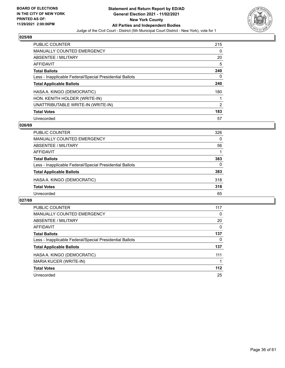

| <b>PUBLIC COUNTER</b>                                    | 215            |
|----------------------------------------------------------|----------------|
| <b>MANUALLY COUNTED EMERGENCY</b>                        | 0              |
| ABSENTEE / MILITARY                                      | 20             |
| AFFIDAVIT                                                | 5              |
| <b>Total Ballots</b>                                     | 240            |
| Less - Inapplicable Federal/Special Presidential Ballots | 0              |
| <b>Total Applicable Ballots</b>                          | 240            |
| HASA A. KINGO (DEMOCRATIC)                               | 180            |
| HON. KENITH HOLDER (WRITE-IN)                            |                |
| UNATTRIBUTABLE WRITE-IN (WRITE-IN)                       | $\overline{2}$ |
| <b>Total Votes</b>                                       | 183            |
| Unrecorded                                               | 57             |

## **026/69**

| <b>PUBLIC COUNTER</b>                                    | 326      |
|----------------------------------------------------------|----------|
| MANUALLY COUNTED EMERGENCY                               | $\Omega$ |
| ABSENTEE / MILITARY                                      | 56       |
| AFFIDAVIT                                                |          |
| <b>Total Ballots</b>                                     | 383      |
| Less - Inapplicable Federal/Special Presidential Ballots | 0        |
| <b>Total Applicable Ballots</b>                          | 383      |
| HASA A. KINGO (DEMOCRATIC)                               | 318      |
| <b>Total Votes</b>                                       | 318      |
| Unrecorded                                               | 65       |

| <b>PUBLIC COUNTER</b>                                    | 117 |
|----------------------------------------------------------|-----|
| <b>MANUALLY COUNTED EMERGENCY</b>                        | 0   |
| ABSENTEE / MILITARY                                      | 20  |
| <b>AFFIDAVIT</b>                                         | 0   |
| <b>Total Ballots</b>                                     | 137 |
| Less - Inapplicable Federal/Special Presidential Ballots | 0   |
| <b>Total Applicable Ballots</b>                          | 137 |
| HASA A. KINGO (DEMOCRATIC)                               | 111 |
| <b>MARIA KUCER (WRITE-IN)</b>                            |     |
| <b>Total Votes</b>                                       | 112 |
| Unrecorded                                               | 25  |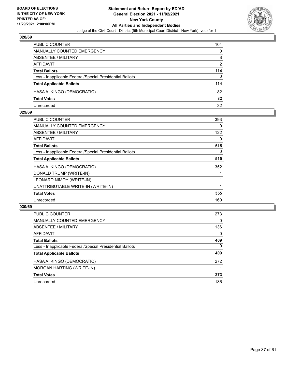

| PUBLIC COUNTER                                           | 104      |
|----------------------------------------------------------|----------|
| MANUALLY COUNTED EMERGENCY                               | $\Omega$ |
| <b>ABSENTEE / MILITARY</b>                               | 8        |
| AFFIDAVIT                                                | 2        |
| <b>Total Ballots</b>                                     | 114      |
| Less - Inapplicable Federal/Special Presidential Ballots | 0        |
| <b>Total Applicable Ballots</b>                          | 114      |
| HASA A. KINGO (DEMOCRATIC)                               | 82       |
| <b>Total Votes</b>                                       | 82       |
| Unrecorded                                               | 32       |

## **029/69**

| <b>PUBLIC COUNTER</b>                                    | 393      |
|----------------------------------------------------------|----------|
| <b>MANUALLY COUNTED EMERGENCY</b>                        | 0        |
| ABSENTEE / MILITARY                                      | 122      |
| AFFIDAVIT                                                | 0        |
| <b>Total Ballots</b>                                     | 515      |
| Less - Inapplicable Federal/Special Presidential Ballots | $\Omega$ |
| <b>Total Applicable Ballots</b>                          | 515      |
| HASA A. KINGO (DEMOCRATIC)                               | 352      |
| DONALD TRUMP (WRITE-IN)                                  |          |
| LEONARD NIMOY (WRITE-IN)                                 |          |
| UNATTRIBUTABLE WRITE-IN (WRITE-IN)                       |          |
| <b>Total Votes</b>                                       | 355      |
| Unrecorded                                               | 160      |
|                                                          |          |

| <b>PUBLIC COUNTER</b>                                    | 273      |
|----------------------------------------------------------|----------|
| MANUALLY COUNTED EMERGENCY                               | $\Omega$ |
| ABSENTEE / MILITARY                                      | 136      |
| AFFIDAVIT                                                | 0        |
| <b>Total Ballots</b>                                     | 409      |
| Less - Inapplicable Federal/Special Presidential Ballots | $\Omega$ |
| <b>Total Applicable Ballots</b>                          | 409      |
| HASA A. KINGO (DEMOCRATIC)                               | 272      |
| MORGAN HARTING (WRITE-IN)                                |          |
| <b>Total Votes</b>                                       | 273      |
| Unrecorded                                               | 136      |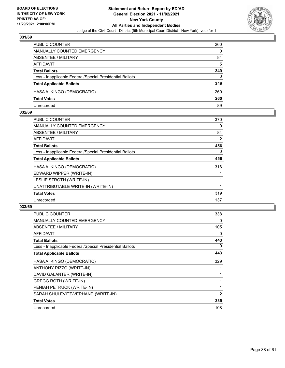

| PUBLIC COUNTER                                           | 260 |
|----------------------------------------------------------|-----|
| MANUALLY COUNTED EMERGENCY                               | 0   |
| ABSENTEE / MILITARY                                      | 84  |
| AFFIDAVIT                                                | 5   |
| <b>Total Ballots</b>                                     | 349 |
| Less - Inapplicable Federal/Special Presidential Ballots | 0   |
| <b>Total Applicable Ballots</b>                          | 349 |
| HASA A. KINGO (DEMOCRATIC)                               | 260 |
| <b>Total Votes</b>                                       | 260 |
| Unrecorded                                               | 89  |

## **032/69**

| <b>PUBLIC COUNTER</b>                                    | 370 |
|----------------------------------------------------------|-----|
| <b>MANUALLY COUNTED EMERGENCY</b>                        | 0   |
| ABSENTEE / MILITARY                                      | 84  |
| <b>AFFIDAVIT</b>                                         | 2   |
| <b>Total Ballots</b>                                     | 456 |
| Less - Inapplicable Federal/Special Presidential Ballots | 0   |
| <b>Total Applicable Ballots</b>                          | 456 |
| HASA A. KINGO (DEMOCRATIC)                               | 316 |
| EDWARD WIPPER (WRITE-IN)                                 |     |
| LESLIE STROTH (WRITE-IN)                                 |     |
| UNATTRIBUTABLE WRITE-IN (WRITE-IN)                       |     |
| <b>Total Votes</b>                                       | 319 |
| Unrecorded                                               | 137 |
|                                                          |     |

| <b>PUBLIC COUNTER</b>                                    | 338            |
|----------------------------------------------------------|----------------|
| <b>MANUALLY COUNTED EMERGENCY</b>                        | 0              |
| <b>ABSENTEE / MILITARY</b>                               | 105            |
| AFFIDAVIT                                                | $\Omega$       |
| <b>Total Ballots</b>                                     | 443            |
| Less - Inapplicable Federal/Special Presidential Ballots | 0              |
| <b>Total Applicable Ballots</b>                          | 443            |
| HASA A. KINGO (DEMOCRATIC)                               | 329            |
| ANTHONY RIZZO (WRITE-IN)                                 |                |
| DAVID GALANTER (WRITE-IN)                                |                |
| <b>GREGG ROTH (WRITE-IN)</b>                             |                |
| PENIAH PETRUCK (WRITE-IN)                                | 1              |
| SARAH SHULEVITZ-VERHAND (WRITE-IN)                       | $\overline{2}$ |
| <b>Total Votes</b>                                       | 335            |
| Unrecorded                                               | 108            |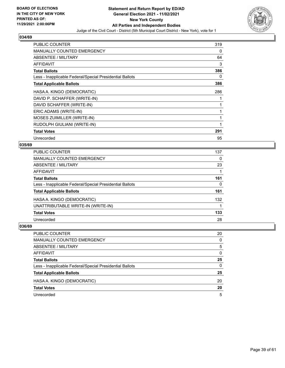

| <b>PUBLIC COUNTER</b>                                    | 319 |
|----------------------------------------------------------|-----|
| <b>MANUALLY COUNTED EMERGENCY</b>                        | 0   |
| <b>ABSENTEE / MILITARY</b>                               | 64  |
| AFFIDAVIT                                                | 3   |
| <b>Total Ballots</b>                                     | 386 |
| Less - Inapplicable Federal/Special Presidential Ballots | 0   |
| <b>Total Applicable Ballots</b>                          | 386 |
| HASA A. KINGO (DEMOCRATIC)                               | 286 |
| DAVID P. SCHAFFER (WRITE-IN)                             |     |
| DAVID SCHAFFER (WRITE-IN)                                |     |
| ERIC ADAMS (WRITE-IN)                                    |     |
| MOSES ZUIMILLER (WRITE-IN)                               |     |
| RUDOLPH GIULIANI (WRITE-IN)                              |     |
| <b>Total Votes</b>                                       | 291 |
| Unrecorded                                               | 95  |

#### **035/69**

| PUBLIC COUNTER                                           | 137      |
|----------------------------------------------------------|----------|
| MANUALLY COUNTED EMERGENCY                               | 0        |
| <b>ABSENTEE / MILITARY</b>                               | 23       |
| <b>AFFIDAVIT</b>                                         |          |
| <b>Total Ballots</b>                                     | 161      |
| Less - Inapplicable Federal/Special Presidential Ballots | $\Omega$ |
| <b>Total Applicable Ballots</b>                          | 161      |
| HASA A. KINGO (DEMOCRATIC)                               | 132      |
| UNATTRIBUTABLE WRITE-IN (WRITE-IN)                       |          |
| <b>Total Votes</b>                                       | 133      |
| Unrecorded                                               | 28       |
|                                                          |          |

| <b>PUBLIC COUNTER</b>                                    | 20       |
|----------------------------------------------------------|----------|
| <b>MANUALLY COUNTED EMERGENCY</b>                        | $\Omega$ |
| ABSENTEE / MILITARY                                      | 5        |
| AFFIDAVIT                                                | $\Omega$ |
| <b>Total Ballots</b>                                     | 25       |
| Less - Inapplicable Federal/Special Presidential Ballots | $\Omega$ |
| <b>Total Applicable Ballots</b>                          | 25       |
| HASA A. KINGO (DEMOCRATIC)                               | 20       |
| <b>Total Votes</b>                                       | 20       |
| Unrecorded                                               | 5        |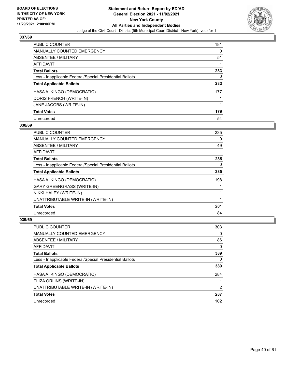

| <b>PUBLIC COUNTER</b>                                    | 181 |
|----------------------------------------------------------|-----|
| <b>MANUALLY COUNTED EMERGENCY</b>                        | 0   |
| ABSENTEE / MILITARY                                      | 51  |
| AFFIDAVIT                                                |     |
| <b>Total Ballots</b>                                     | 233 |
| Less - Inapplicable Federal/Special Presidential Ballots | 0   |
| <b>Total Applicable Ballots</b>                          | 233 |
| HASA A. KINGO (DEMOCRATIC)                               | 177 |
| DORIS FRENCH (WRITE-IN)                                  |     |
| JANE JACOBS (WRITE-IN)                                   | 1   |
| <b>Total Votes</b>                                       | 179 |
| Unrecorded                                               | 54  |

## **038/69**

| PUBLIC COUNTER                                           | 235 |
|----------------------------------------------------------|-----|
| <b>MANUALLY COUNTED EMERGENCY</b>                        | 0   |
| ABSENTEE / MILITARY                                      | 49  |
| AFFIDAVIT                                                |     |
| <b>Total Ballots</b>                                     | 285 |
| Less - Inapplicable Federal/Special Presidential Ballots | 0   |
| <b>Total Applicable Ballots</b>                          | 285 |
| HASA A. KINGO (DEMOCRATIC)                               | 198 |
| <b>GARY GREENGRASS (WRITE-IN)</b>                        |     |
| NIKKI HALEY (WRITE-IN)                                   |     |
| UNATTRIBUTABLE WRITE-IN (WRITE-IN)                       |     |
| <b>Total Votes</b>                                       | 201 |
| Unrecorded                                               | 84  |

| <b>PUBLIC COUNTER</b>                                    | 303      |
|----------------------------------------------------------|----------|
| <b>MANUALLY COUNTED EMERGENCY</b>                        | 0        |
| ABSENTEE / MILITARY                                      | 86       |
| AFFIDAVIT                                                | $\Omega$ |
| <b>Total Ballots</b>                                     | 389      |
| Less - Inapplicable Federal/Special Presidential Ballots | 0        |
| <b>Total Applicable Ballots</b>                          | 389      |
| HASA A. KINGO (DEMOCRATIC)                               | 284      |
| ELIZA ORLINS (WRITE-IN)                                  |          |
| UNATTRIBUTABLE WRITE-IN (WRITE-IN)                       | 2        |
| <b>Total Votes</b>                                       | 287      |
| Unrecorded                                               | 102      |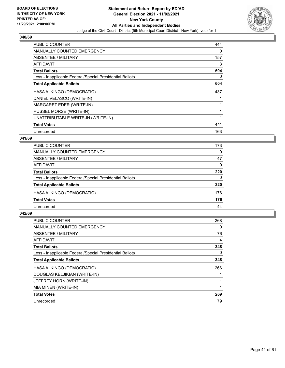

| <b>PUBLIC COUNTER</b>                                    | 444 |
|----------------------------------------------------------|-----|
| <b>MANUALLY COUNTED EMERGENCY</b>                        | 0   |
| <b>ABSENTEE / MILITARY</b>                               | 157 |
| AFFIDAVIT                                                | 3   |
| <b>Total Ballots</b>                                     | 604 |
| Less - Inapplicable Federal/Special Presidential Ballots | 0   |
| <b>Total Applicable Ballots</b>                          | 604 |
| HASA A. KINGO (DEMOCRATIC)                               | 437 |
| DANIEL VELASCO (WRITE-IN)                                |     |
| MARGARET EDER (WRITE-IN)                                 |     |
| RUSSEL MORSE (WRITE-IN)                                  |     |
| UNATTRIBUTABLE WRITE-IN (WRITE-IN)                       |     |
| <b>Total Votes</b>                                       | 441 |
| Unrecorded                                               | 163 |

## **041/69**

| PUBLIC COUNTER                                           | 173      |
|----------------------------------------------------------|----------|
| MANUALLY COUNTED EMERGENCY                               | $\Omega$ |
| ABSENTEE / MILITARY                                      | 47       |
| AFFIDAVIT                                                | 0        |
| <b>Total Ballots</b>                                     | 220      |
| Less - Inapplicable Federal/Special Presidential Ballots | $\Omega$ |
| <b>Total Applicable Ballots</b>                          | 220      |
| HASA A. KINGO (DEMOCRATIC)                               | 176      |
| <b>Total Votes</b>                                       | 176      |
| Unrecorded                                               | 44       |
|                                                          |          |

| <b>PUBLIC COUNTER</b>                                    | 268 |
|----------------------------------------------------------|-----|
| <b>MANUALLY COUNTED EMERGENCY</b>                        | 0   |
| ABSENTEE / MILITARY                                      | 76  |
| AFFIDAVIT                                                | 4   |
| <b>Total Ballots</b>                                     | 348 |
| Less - Inapplicable Federal/Special Presidential Ballots | 0   |
| <b>Total Applicable Ballots</b>                          | 348 |
| HASA A. KINGO (DEMOCRATIC)                               | 266 |
| DOUGLAS KELJIKIAN (WRITE-IN)                             |     |
| JEFFREY HORN (WRITE-IN)                                  |     |
| MIA MINEN (WRITE-IN)                                     |     |
| <b>Total Votes</b>                                       | 269 |
| Unrecorded                                               | 79  |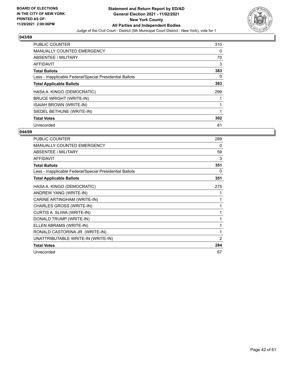

| <b>PUBLIC COUNTER</b>                                    | 310      |
|----------------------------------------------------------|----------|
| <b>MANUALLY COUNTED EMERGENCY</b>                        | 0        |
| ABSENTEE / MILITARY                                      | 70       |
| AFFIDAVIT                                                | 3        |
| <b>Total Ballots</b>                                     | 383      |
| Less - Inapplicable Federal/Special Presidential Ballots | $\Omega$ |
| <b>Total Applicable Ballots</b>                          | 383      |
| HASA A. KINGO (DEMOCRATIC)                               | 299      |
| <b>BRUCE WRIGHT (WRITE-IN)</b>                           |          |
| <b>ISAIAH BROWN (WRITE-IN)</b>                           |          |
| SIEDEL BETHUNE (WRITE-IN)                                | 1        |
| <b>Total Votes</b>                                       | 302      |
| Unrecorded                                               | 81       |

| PUBLIC COUNTER                                           | 289 |
|----------------------------------------------------------|-----|
| <b>MANUALLY COUNTED EMERGENCY</b>                        | 0   |
| ABSENTEE / MILITARY                                      | 59  |
| <b>AFFIDAVIT</b>                                         | 3   |
| <b>Total Ballots</b>                                     | 351 |
| Less - Inapplicable Federal/Special Presidential Ballots | 0   |
| <b>Total Applicable Ballots</b>                          | 351 |
| HASA A. KINGO (DEMOCRATIC)                               | 275 |
| ANDREW YANG (WRITE-IN)                                   | 1   |
| CARINE ARTINGHAM (WRITE-IN)                              | 1   |
| CHARLES GROSS (WRITE-IN)                                 | 1   |
| CURTIS A. SLIWA (WRITE-IN)                               | 1   |
| DONALD TRUMP (WRITE-IN)                                  | 1   |
| ELLEN ABRAMS (WRITE-IN)                                  | 1   |
| RONALD CASTORINA JR. (WRITE-IN)                          | 1   |
| UNATTRIBUTABLE WRITE-IN (WRITE-IN)                       | 2   |
| <b>Total Votes</b>                                       | 284 |
| Unrecorded                                               | 67  |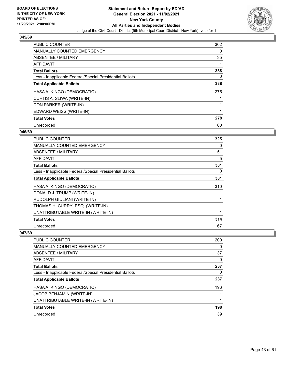

| PUBLIC COUNTER                                           | 302 |
|----------------------------------------------------------|-----|
| <b>MANUALLY COUNTED EMERGENCY</b>                        | 0   |
| ABSENTEE / MILITARY                                      | 35  |
| <b>AFFIDAVIT</b>                                         |     |
| <b>Total Ballots</b>                                     | 338 |
| Less - Inapplicable Federal/Special Presidential Ballots | 0   |
| <b>Total Applicable Ballots</b>                          | 338 |
| HASA A. KINGO (DEMOCRATIC)                               | 275 |
| CURTIS A. SLIWA (WRITE-IN)                               |     |
| DON PARKER (WRITE-IN)                                    |     |
| EDWARD WEISS (WRITE-IN)                                  |     |
| <b>Total Votes</b>                                       | 278 |
| Unrecorded                                               | 60  |

## **046/69**

| <b>PUBLIC COUNTER</b>                                    | 325 |
|----------------------------------------------------------|-----|
| <b>MANUALLY COUNTED EMERGENCY</b>                        | 0   |
| ABSENTEE / MILITARY                                      | 51  |
| AFFIDAVIT                                                | 5   |
| <b>Total Ballots</b>                                     | 381 |
| Less - Inapplicable Federal/Special Presidential Ballots | 0   |
| <b>Total Applicable Ballots</b>                          | 381 |
| HASA A. KINGO (DEMOCRATIC)                               | 310 |
| DONALD J. TRUMP (WRITE-IN)                               |     |
| RUDOLPH GIULIANI (WRITE-IN)                              |     |
| THOMAS H. CURRY, ESQ. (WRITE-IN)                         |     |
| UNATTRIBUTABLE WRITE-IN (WRITE-IN)                       | 1   |
| <b>Total Votes</b>                                       | 314 |
| Unrecorded                                               | 67  |

| PUBLIC COUNTER                                           | 200 |
|----------------------------------------------------------|-----|
| <b>MANUALLY COUNTED EMERGENCY</b>                        | 0   |
| ABSENTEE / MILITARY                                      | 37  |
| AFFIDAVIT                                                | 0   |
| <b>Total Ballots</b>                                     | 237 |
| Less - Inapplicable Federal/Special Presidential Ballots | 0   |
| <b>Total Applicable Ballots</b>                          | 237 |
| HASA A. KINGO (DEMOCRATIC)                               | 196 |
| JACOB BENJAMIN (WRITE-IN)                                |     |
| UNATTRIBUTABLE WRITE-IN (WRITE-IN)                       |     |
| <b>Total Votes</b>                                       | 198 |
| Unrecorded                                               | 39  |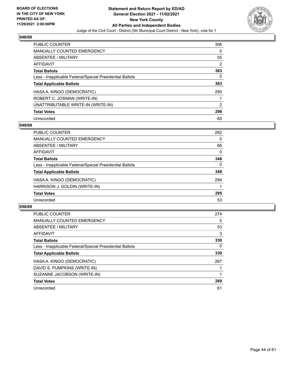

| <b>PUBLIC COUNTER</b>                                    | 306 |
|----------------------------------------------------------|-----|
| <b>MANUALLY COUNTED EMERGENCY</b>                        | 0   |
| ABSENTEE / MILITARY                                      | 55  |
| AFFIDAVIT                                                | 2   |
| <b>Total Ballots</b>                                     | 363 |
| Less - Inapplicable Federal/Special Presidential Ballots | 0   |
| <b>Total Applicable Ballots</b>                          | 363 |
| HASA A. KINGO (DEMOCRATIC)                               | 295 |
| ROBERT C. JOSMAN (WRITE-IN)                              |     |
| UNATTRIBUTABLE WRITE-IN (WRITE-IN)                       | 2   |
| <b>Total Votes</b>                                       | 298 |
| Unrecorded                                               | 65  |

## **049/69**

| <b>PUBLIC COUNTER</b>                                    | 282 |
|----------------------------------------------------------|-----|
| <b>MANUALLY COUNTED EMERGENCY</b>                        | 0   |
| ABSENTEE / MILITARY                                      | 66  |
| AFFIDAVIT                                                | 0   |
| <b>Total Ballots</b>                                     | 348 |
| Less - Inapplicable Federal/Special Presidential Ballots | 0   |
| <b>Total Applicable Ballots</b>                          | 348 |
| HASA A. KINGO (DEMOCRATIC)                               | 294 |
| HARRISON J. GOLDIN (WRITE-IN)                            |     |
| <b>Total Votes</b>                                       | 295 |
| Unrecorded                                               | 53  |

| <b>PUBLIC COUNTER</b>                                    | 274 |
|----------------------------------------------------------|-----|
| <b>MANUALLY COUNTED EMERGENCY</b>                        | 0   |
| ABSENTEE / MILITARY                                      | 53  |
| AFFIDAVIT                                                | 3   |
| <b>Total Ballots</b>                                     | 330 |
| Less - Inapplicable Federal/Special Presidential Ballots | 0   |
| <b>Total Applicable Ballots</b>                          | 330 |
| HASA A. KINGO (DEMOCRATIC)                               | 267 |
| DAVID S. PUMPKINS (WRITE-IN)                             |     |
| SUZANNE JACOBSON (WRITE-IN)                              |     |
| <b>Total Votes</b>                                       | 269 |
| Unrecorded                                               | 61  |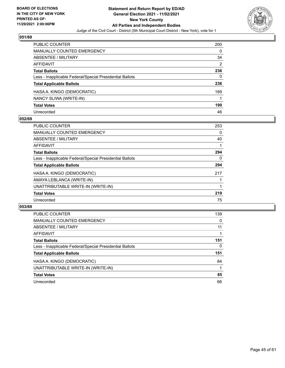

| <b>PUBLIC COUNTER</b>                                    | 200 |
|----------------------------------------------------------|-----|
| <b>MANUALLY COUNTED EMERGENCY</b>                        | 0   |
| ABSENTEE / MILITARY                                      | 34  |
| <b>AFFIDAVIT</b>                                         | 2   |
| <b>Total Ballots</b>                                     | 236 |
| Less - Inapplicable Federal/Special Presidential Ballots | 0   |
| <b>Total Applicable Ballots</b>                          | 236 |
| HASA A. KINGO (DEMOCRATIC)                               | 189 |
| NANCY SLIWA (WRITE-IN)                                   |     |
| <b>Total Votes</b>                                       | 190 |
| Unrecorded                                               | 46  |

## **052/69**

| <b>PUBLIC COUNTER</b>                                    | 253 |
|----------------------------------------------------------|-----|
| <b>MANUALLY COUNTED EMERGENCY</b>                        | 0   |
| ABSENTEE / MILITARY                                      | 40  |
| <b>AFFIDAVIT</b>                                         |     |
| <b>Total Ballots</b>                                     | 294 |
| Less - Inapplicable Federal/Special Presidential Ballots | 0   |
| <b>Total Applicable Ballots</b>                          | 294 |
| HASA A. KINGO (DEMOCRATIC)                               | 217 |
| AMAYA LEBLANCA (WRITE-IN)                                |     |
| UNATTRIBUTABLE WRITE-IN (WRITE-IN)                       |     |
| <b>Total Votes</b>                                       | 219 |
| Unrecorded                                               | 75  |

| <b>PUBLIC COUNTER</b>                                    | 139 |
|----------------------------------------------------------|-----|
| MANUALLY COUNTED EMERGENCY                               | 0   |
| ABSENTEE / MILITARY                                      | 11  |
| AFFIDAVIT                                                |     |
| <b>Total Ballots</b>                                     | 151 |
| Less - Inapplicable Federal/Special Presidential Ballots | 0   |
| <b>Total Applicable Ballots</b>                          | 151 |
| HASA A. KINGO (DEMOCRATIC)                               | 84  |
| UNATTRIBUTABLE WRITE-IN (WRITE-IN)                       |     |
| <b>Total Votes</b>                                       | 85  |
| Unrecorded                                               | 66  |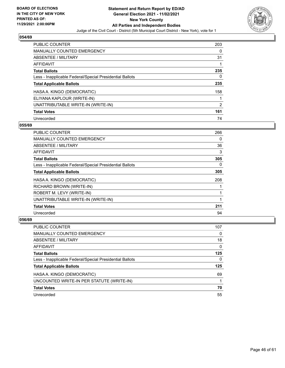

| <b>PUBLIC COUNTER</b>                                    | 203            |
|----------------------------------------------------------|----------------|
| <b>MANUALLY COUNTED EMERGENCY</b>                        | 0              |
| ABSENTEE / MILITARY                                      | 31             |
| AFFIDAVIT                                                |                |
| <b>Total Ballots</b>                                     | 235            |
| Less - Inapplicable Federal/Special Presidential Ballots | 0              |
| <b>Total Applicable Ballots</b>                          | 235            |
| HASA A. KINGO (DEMOCRATIC)                               | 158            |
| ELIYANA KAPLOUR (WRITE-IN)                               |                |
| UNATTRIBUTABLE WRITE-IN (WRITE-IN)                       | $\overline{2}$ |
| <b>Total Votes</b>                                       | 161            |
| Unrecorded                                               | 74             |

## **055/69**

| <b>PUBLIC COUNTER</b>                                    | 266      |
|----------------------------------------------------------|----------|
| <b>MANUALLY COUNTED EMERGENCY</b>                        | 0        |
| ABSENTEE / MILITARY                                      | 36       |
| <b>AFFIDAVIT</b>                                         | 3        |
| <b>Total Ballots</b>                                     | 305      |
| Less - Inapplicable Federal/Special Presidential Ballots | $\Omega$ |
| <b>Total Applicable Ballots</b>                          | 305      |
| HASA A. KINGO (DEMOCRATIC)                               | 208      |
| RICHARD BROWN (WRITE-IN)                                 |          |
| ROBERT M. LEVY (WRITE-IN)                                |          |
| UNATTRIBUTABLE WRITE-IN (WRITE-IN)                       |          |
| <b>Total Votes</b>                                       | 211      |
| Unrecorded                                               | 94       |

| <b>PUBLIC COUNTER</b>                                    | 107 |
|----------------------------------------------------------|-----|
| MANUALLY COUNTED EMERGENCY                               | 0   |
| ABSENTEE / MILITARY                                      | 18  |
| AFFIDAVIT                                                | 0   |
| <b>Total Ballots</b>                                     | 125 |
| Less - Inapplicable Federal/Special Presidential Ballots | 0   |
| <b>Total Applicable Ballots</b>                          | 125 |
| HASA A. KINGO (DEMOCRATIC)                               | 69  |
| UNCOUNTED WRITE-IN PER STATUTE (WRITE-IN)                |     |
| <b>Total Votes</b>                                       | 70  |
| Unrecorded                                               | 55  |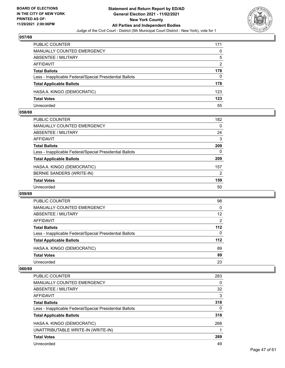

| <b>PUBLIC COUNTER</b>                                    | 171           |
|----------------------------------------------------------|---------------|
| MANUALLY COUNTED EMERGENCY                               | 0             |
| ABSENTEE / MILITARY                                      | 5             |
| AFFIDAVIT                                                | $\mathcal{P}$ |
| <b>Total Ballots</b>                                     | 178           |
| Less - Inapplicable Federal/Special Presidential Ballots | 0             |
| <b>Total Applicable Ballots</b>                          | 178           |
| HASA A. KINGO (DEMOCRATIC)                               | 123           |
| <b>Total Votes</b>                                       | 123           |
| Unrecorded                                               | 55            |

## **058/69**

| <b>PUBLIC COUNTER</b>                                    | 182            |
|----------------------------------------------------------|----------------|
| <b>MANUALLY COUNTED EMERGENCY</b>                        | $\Omega$       |
| ABSENTEE / MILITARY                                      | 24             |
| AFFIDAVIT                                                | 3              |
| <b>Total Ballots</b>                                     | 209            |
| Less - Inapplicable Federal/Special Presidential Ballots | 0              |
| <b>Total Applicable Ballots</b>                          | 209            |
| HASA A. KINGO (DEMOCRATIC)                               | 157            |
| BERNIE SANDERS (WRITE-IN)                                | $\overline{2}$ |
| <b>Total Votes</b>                                       | 159            |
| Unrecorded                                               | 50             |
|                                                          |                |

## **059/69**

| PUBLIC COUNTER                                           | 98       |
|----------------------------------------------------------|----------|
| <b>MANUALLY COUNTED EMERGENCY</b>                        | 0        |
| ABSENTEE / MILITARY                                      | 12       |
| AFFIDAVIT                                                | 2        |
| <b>Total Ballots</b>                                     | $112$    |
| Less - Inapplicable Federal/Special Presidential Ballots | $\Omega$ |
| <b>Total Applicable Ballots</b>                          | $112$    |
| HASA A. KINGO (DEMOCRATIC)                               | 89       |
| <b>Total Votes</b>                                       | 89       |
| Unrecorded                                               | 23       |

| <b>PUBLIC COUNTER</b>                                    | 283      |
|----------------------------------------------------------|----------|
| MANUALLY COUNTED EMERGENCY                               | 0        |
| ABSENTEE / MILITARY                                      | 32       |
| AFFIDAVIT                                                | 3        |
| <b>Total Ballots</b>                                     | 318      |
| Less - Inapplicable Federal/Special Presidential Ballots | $\Omega$ |
| <b>Total Applicable Ballots</b>                          | 318      |
| HASA A. KINGO (DEMOCRATIC)                               | 268      |
| UNATTRIBUTABLE WRITE-IN (WRITE-IN)                       |          |
| <b>Total Votes</b>                                       | 269      |
| Unrecorded                                               | 49       |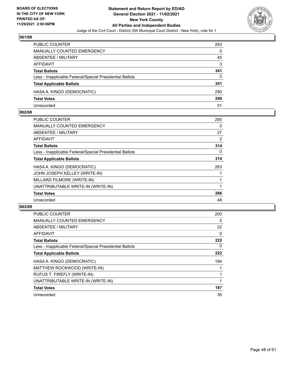

| PUBLIC COUNTER                                           | 293 |
|----------------------------------------------------------|-----|
| <b>MANUALLY COUNTED EMERGENCY</b>                        | 0   |
| ABSENTEE / MILITARY                                      | 45  |
| AFFIDAVIT                                                | 3   |
| <b>Total Ballots</b>                                     | 341 |
| Less - Inapplicable Federal/Special Presidential Ballots | 0   |
| <b>Total Applicable Ballots</b>                          | 341 |
| HASA A. KINGO (DEMOCRATIC)                               | 290 |
| <b>Total Votes</b>                                       | 290 |
| Unrecorded                                               | 51  |

## **062/69**

| PUBLIC COUNTER                                           | 285      |
|----------------------------------------------------------|----------|
| <b>MANUALLY COUNTED EMERGENCY</b>                        | 0        |
| ABSENTEE / MILITARY                                      | 27       |
| <b>AFFIDAVIT</b>                                         | 2        |
| <b>Total Ballots</b>                                     | 314      |
| Less - Inapplicable Federal/Special Presidential Ballots | $\Omega$ |
| <b>Total Applicable Ballots</b>                          | 314      |
| HASA A. KINGO (DEMOCRATIC)                               | 263      |
| JOHN JOSEPH KELLEY (WRITE-IN)                            |          |
| MILLARD FILMORE (WRITE-IN)                               |          |
| UNATTRIBUTABLE WRITE-IN (WRITE-IN)                       |          |
| <b>Total Votes</b>                                       | 266      |
| Unrecorded                                               | 48       |
|                                                          |          |

| <b>PUBLIC COUNTER</b>                                    | 200      |
|----------------------------------------------------------|----------|
| <b>MANUALLY COUNTED EMERGENCY</b>                        | 0        |
| ABSENTEE / MILITARY                                      | 22       |
| AFFIDAVIT                                                | $\Omega$ |
| <b>Total Ballots</b>                                     | 222      |
| Less - Inapplicable Federal/Special Presidential Ballots | 0        |
| <b>Total Applicable Ballots</b>                          | 222      |
| HASA A. KINGO (DEMOCRATIC)                               | 184      |
| MATTHEW ROCKWOOD (WRITE-IN)                              |          |
| RUFUS T. FIREFLY (WRITE-IN)                              |          |
| UNATTRIBUTABLE WRITE-IN (WRITE-IN)                       | 1        |
| <b>Total Votes</b>                                       | 187      |
| Unrecorded                                               | 35       |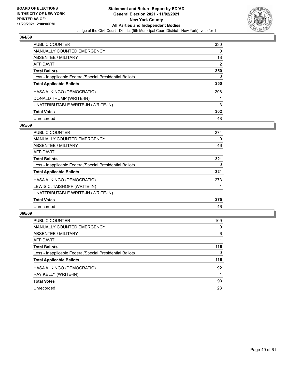

| <b>PUBLIC COUNTER</b>                                    | 330 |
|----------------------------------------------------------|-----|
| <b>MANUALLY COUNTED EMERGENCY</b>                        | 0   |
| ABSENTEE / MILITARY                                      | 18  |
| AFFIDAVIT                                                | 2   |
| <b>Total Ballots</b>                                     | 350 |
| Less - Inapplicable Federal/Special Presidential Ballots | 0   |
| <b>Total Applicable Ballots</b>                          | 350 |
| HASA A. KINGO (DEMOCRATIC)                               | 298 |
| DONALD TRUMP (WRITE-IN)                                  |     |
| UNATTRIBUTABLE WRITE-IN (WRITE-IN)                       | 3   |
| <b>Total Votes</b>                                       | 302 |
| Unrecorded                                               | 48  |

## **065/69**

| <b>PUBLIC COUNTER</b>                                    | 274      |
|----------------------------------------------------------|----------|
| MANUALLY COUNTED EMERGENCY                               | $\Omega$ |
| ABSENTEE / MILITARY                                      | 46       |
| <b>AFFIDAVIT</b>                                         |          |
| <b>Total Ballots</b>                                     | 321      |
| Less - Inapplicable Federal/Special Presidential Ballots | 0        |
| <b>Total Applicable Ballots</b>                          | 321      |
| HASA A. KINGO (DEMOCRATIC)                               | 273      |
| LEWIS C. TAISHOFF (WRITE-IN)                             |          |
| UNATTRIBUTABLE WRITE-IN (WRITE-IN)                       |          |
| <b>Total Votes</b>                                       | 275      |
| Unrecorded                                               | 46       |

| <b>PUBLIC COUNTER</b>                                    | 109 |
|----------------------------------------------------------|-----|
| <b>MANUALLY COUNTED EMERGENCY</b>                        | 0   |
| ABSENTEE / MILITARY                                      | 6   |
| AFFIDAVIT                                                |     |
| <b>Total Ballots</b>                                     | 116 |
| Less - Inapplicable Federal/Special Presidential Ballots | 0   |
| <b>Total Applicable Ballots</b>                          | 116 |
| HASA A. KINGO (DEMOCRATIC)                               | 92  |
| RAY KELLY (WRITE-IN)                                     | 1   |
| <b>Total Votes</b>                                       | 93  |
| Unrecorded                                               | 23  |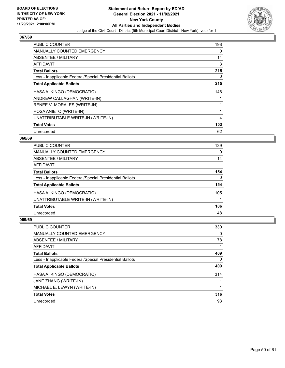

| <b>PUBLIC COUNTER</b>                                    | 198 |
|----------------------------------------------------------|-----|
| <b>MANUALLY COUNTED EMERGENCY</b>                        | 0   |
| ABSENTEE / MILITARY                                      | 14  |
| <b>AFFIDAVIT</b>                                         | 3   |
| <b>Total Ballots</b>                                     | 215 |
| Less - Inapplicable Federal/Special Presidential Ballots | 0   |
| <b>Total Applicable Ballots</b>                          | 215 |
| HASA A. KINGO (DEMOCRATIC)                               | 146 |
| ANDREW CALLAGHAN (WRITE-IN)                              |     |
| RENEE V. MORALES (WRITE-IN)                              |     |
| ROSA ANIETO (WRITE-IN)                                   |     |
| UNATTRIBUTABLE WRITE-IN (WRITE-IN)                       | 4   |
| <b>Total Votes</b>                                       | 153 |
| Unrecorded                                               | 62  |

## **068/69**

| <b>PUBLIC COUNTER</b>                                    | 139      |
|----------------------------------------------------------|----------|
| <b>MANUALLY COUNTED EMERGENCY</b>                        | $\Omega$ |
| ABSENTEE / MILITARY                                      | 14       |
| AFFIDAVIT                                                |          |
| <b>Total Ballots</b>                                     | 154      |
| Less - Inapplicable Federal/Special Presidential Ballots | 0        |
| <b>Total Applicable Ballots</b>                          | 154      |
| HASA A. KINGO (DEMOCRATIC)                               | 105      |
| UNATTRIBUTABLE WRITE-IN (WRITE-IN)                       |          |
| <b>Total Votes</b>                                       | 106      |
| Unrecorded                                               | 48       |

| <b>PUBLIC COUNTER</b>                                    | 330 |
|----------------------------------------------------------|-----|
| <b>MANUALLY COUNTED EMERGENCY</b>                        | 0   |
| ABSENTEE / MILITARY                                      | 78  |
| AFFIDAVIT                                                |     |
| <b>Total Ballots</b>                                     | 409 |
| Less - Inapplicable Federal/Special Presidential Ballots | 0   |
| <b>Total Applicable Ballots</b>                          | 409 |
| HASA A. KINGO (DEMOCRATIC)                               | 314 |
| JANE ZHANG (WRITE-IN)                                    |     |
| MICHAEL E. LEWYN (WRITE-IN)                              |     |
| <b>Total Votes</b>                                       | 316 |
| Unrecorded                                               | 93  |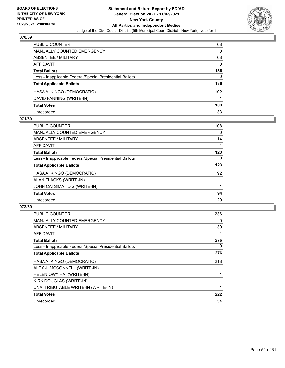

| <b>PUBLIC COUNTER</b>                                    | 68       |
|----------------------------------------------------------|----------|
| <b>MANUALLY COUNTED EMERGENCY</b>                        | 0        |
| ABSENTEE / MILITARY                                      | 68       |
| <b>AFFIDAVIT</b>                                         | $\Omega$ |
| <b>Total Ballots</b>                                     | 136      |
| Less - Inapplicable Federal/Special Presidential Ballots | $\Omega$ |
| <b>Total Applicable Ballots</b>                          | 136      |
| HASA A. KINGO (DEMOCRATIC)                               | 102      |
| DAVID FANNING (WRITE-IN)                                 |          |
| <b>Total Votes</b>                                       | 103      |
| Unrecorded                                               | 33       |

## **071/69**

| <b>PUBLIC COUNTER</b>                                    | 108 |
|----------------------------------------------------------|-----|
| <b>MANUALLY COUNTED EMERGENCY</b>                        | 0   |
| ABSENTEE / MILITARY                                      | 14  |
| <b>AFFIDAVIT</b>                                         |     |
| <b>Total Ballots</b>                                     | 123 |
| Less - Inapplicable Federal/Special Presidential Ballots | 0   |
| <b>Total Applicable Ballots</b>                          | 123 |
| HASA A. KINGO (DEMOCRATIC)                               | 92  |
| ALAN FLACKS (WRITE-IN)                                   |     |
| JOHN CATSIMATIDIS (WRITE-IN)                             |     |
| <b>Total Votes</b>                                       | 94  |
| Unrecorded                                               | 29  |

| <b>PUBLIC COUNTER</b>                                    | 236 |
|----------------------------------------------------------|-----|
| <b>MANUALLY COUNTED EMERGENCY</b>                        | 0   |
| ABSENTEE / MILITARY                                      | 39  |
| AFFIDAVIT                                                |     |
| <b>Total Ballots</b>                                     | 276 |
| Less - Inapplicable Federal/Special Presidential Ballots | 0   |
| <b>Total Applicable Ballots</b>                          | 276 |
| HASA A. KINGO (DEMOCRATIC)                               | 218 |
| ALEX J. MCCONNELL (WRITE-IN)                             |     |
| HELEN OWY HAI (WRITE-IN)                                 |     |
| KIRK DOUGLAS (WRITE-IN)                                  |     |
| UNATTRIBUTABLE WRITE-IN (WRITE-IN)                       |     |
| <b>Total Votes</b>                                       | 222 |
| Unrecorded                                               | 54  |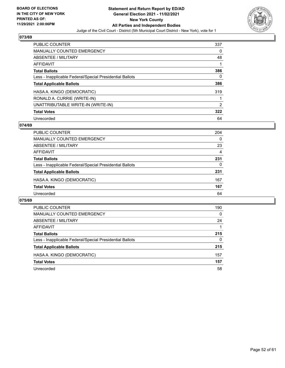

| <b>PUBLIC COUNTER</b>                                    | 337 |
|----------------------------------------------------------|-----|
| <b>MANUALLY COUNTED EMERGENCY</b>                        | 0   |
| ABSENTEE / MILITARY                                      | 48  |
| AFFIDAVIT                                                |     |
| <b>Total Ballots</b>                                     | 386 |
| Less - Inapplicable Federal/Special Presidential Ballots | 0   |
| <b>Total Applicable Ballots</b>                          | 386 |
| HASA A. KINGO (DEMOCRATIC)                               | 319 |
| RONALD A. CURRIE (WRITE-IN)                              |     |
| UNATTRIBUTABLE WRITE-IN (WRITE-IN)                       | 2   |
| <b>Total Votes</b>                                       | 322 |
| Unrecorded                                               | 64  |

## **074/69**

| <b>PUBLIC COUNTER</b>                                    | 204      |
|----------------------------------------------------------|----------|
| <b>MANUALLY COUNTED EMERGENCY</b>                        | $\Omega$ |
| ABSENTEE / MILITARY                                      | 23       |
| AFFIDAVIT                                                | 4        |
| <b>Total Ballots</b>                                     | 231      |
| Less - Inapplicable Federal/Special Presidential Ballots | 0        |
| <b>Total Applicable Ballots</b>                          | 231      |
| HASA A. KINGO (DEMOCRATIC)                               | 167      |
| <b>Total Votes</b>                                       | 167      |
| Unrecorded                                               | 64       |
|                                                          |          |

| PUBLIC COUNTER                                           | 190      |
|----------------------------------------------------------|----------|
| <b>MANUALLY COUNTED EMERGENCY</b>                        | $\Omega$ |
| ABSENTEE / MILITARY                                      | 24       |
| AFFIDAVIT                                                |          |
| <b>Total Ballots</b>                                     | 215      |
| Less - Inapplicable Federal/Special Presidential Ballots | 0        |
| <b>Total Applicable Ballots</b>                          | 215      |
| HASA A. KINGO (DEMOCRATIC)                               | 157      |
| <b>Total Votes</b>                                       | 157      |
| Unrecorded                                               | 58       |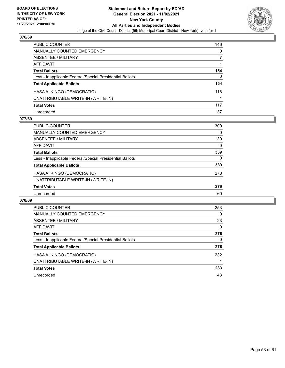

| <b>PUBLIC COUNTER</b>                                    | 146 |
|----------------------------------------------------------|-----|
| <b>MANUALLY COUNTED EMERGENCY</b>                        | 0   |
| ABSENTEE / MILITARY                                      |     |
| <b>AFFIDAVIT</b>                                         |     |
| <b>Total Ballots</b>                                     | 154 |
| Less - Inapplicable Federal/Special Presidential Ballots | 0   |
| <b>Total Applicable Ballots</b>                          | 154 |
| HASA A. KINGO (DEMOCRATIC)                               | 116 |
| UNATTRIBUTABLE WRITE-IN (WRITE-IN)                       |     |
| <b>Total Votes</b>                                       | 117 |
| Unrecorded                                               | 37  |

## **077/69**

| <b>PUBLIC COUNTER</b>                                    | 309      |
|----------------------------------------------------------|----------|
| <b>MANUALLY COUNTED EMERGENCY</b>                        | $\Omega$ |
| ABSENTEE / MILITARY                                      | 30       |
| AFFIDAVIT                                                | $\Omega$ |
| <b>Total Ballots</b>                                     | 339      |
| Less - Inapplicable Federal/Special Presidential Ballots | 0        |
| <b>Total Applicable Ballots</b>                          | 339      |
| HASA A. KINGO (DEMOCRATIC)                               | 278      |
| UNATTRIBUTABLE WRITE-IN (WRITE-IN)                       |          |
| <b>Total Votes</b>                                       | 279      |
| Unrecorded                                               | 60       |

| <b>PUBLIC COUNTER</b>                                    | 253      |
|----------------------------------------------------------|----------|
| <b>MANUALLY COUNTED EMERGENCY</b>                        | 0        |
| ABSENTEE / MILITARY                                      | 23       |
| <b>AFFIDAVIT</b>                                         | $\Omega$ |
| <b>Total Ballots</b>                                     | 276      |
| Less - Inapplicable Federal/Special Presidential Ballots | 0        |
| <b>Total Applicable Ballots</b>                          | 276      |
| HASA A. KINGO (DEMOCRATIC)                               | 232      |
| UNATTRIBUTABLE WRITE-IN (WRITE-IN)                       |          |
| <b>Total Votes</b>                                       | 233      |
| Unrecorded                                               | 43       |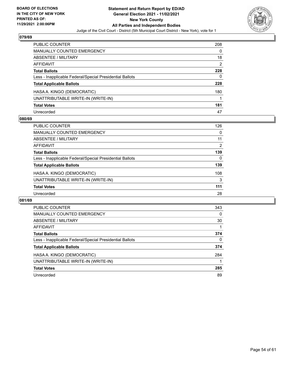

| <b>PUBLIC COUNTER</b>                                    | 208 |
|----------------------------------------------------------|-----|
| <b>MANUALLY COUNTED EMERGENCY</b>                        | 0   |
| ABSENTEE / MILITARY                                      | 18  |
| <b>AFFIDAVIT</b>                                         | 2   |
| <b>Total Ballots</b>                                     | 228 |
| Less - Inapplicable Federal/Special Presidential Ballots | 0   |
| <b>Total Applicable Ballots</b>                          | 228 |
| HASA A. KINGO (DEMOCRATIC)                               | 180 |
| UNATTRIBUTABLE WRITE-IN (WRITE-IN)                       |     |
| <b>Total Votes</b>                                       | 181 |
| Unrecorded                                               | 47  |

## **080/69**

| <b>PUBLIC COUNTER</b>                                    | 126            |
|----------------------------------------------------------|----------------|
| <b>MANUALLY COUNTED EMERGENCY</b>                        | $\Omega$       |
| ABSENTEE / MILITARY                                      | 11             |
| AFFIDAVIT                                                | $\overline{2}$ |
| <b>Total Ballots</b>                                     | 139            |
| Less - Inapplicable Federal/Special Presidential Ballots | 0              |
| <b>Total Applicable Ballots</b>                          | 139            |
| HASA A. KINGO (DEMOCRATIC)                               | 108            |
| UNATTRIBUTABLE WRITE-IN (WRITE-IN)                       | 3              |
| <b>Total Votes</b>                                       | 111            |
| Unrecorded                                               | 28             |

| PUBLIC COUNTER                                           | 343 |
|----------------------------------------------------------|-----|
| MANUALLY COUNTED EMERGENCY                               | 0   |
| ABSENTEE / MILITARY                                      | 30  |
| AFFIDAVIT                                                |     |
| <b>Total Ballots</b>                                     | 374 |
| Less - Inapplicable Federal/Special Presidential Ballots | 0   |
| <b>Total Applicable Ballots</b>                          | 374 |
| HASA A. KINGO (DEMOCRATIC)                               | 284 |
| UNATTRIBUTABLE WRITE-IN (WRITE-IN)                       |     |
| <b>Total Votes</b>                                       | 285 |
| Unrecorded                                               | 89  |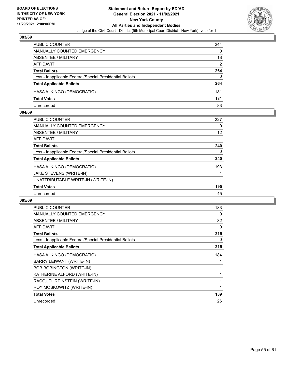

| PUBLIC COUNTER                                           | 244 |
|----------------------------------------------------------|-----|
| <b>MANUALLY COUNTED EMERGENCY</b>                        | 0   |
| ABSENTEE / MILITARY                                      | 18  |
| AFFIDAVIT                                                | 2   |
| <b>Total Ballots</b>                                     | 264 |
| Less - Inapplicable Federal/Special Presidential Ballots | 0   |
| <b>Total Applicable Ballots</b>                          | 264 |
| HASA A. KINGO (DEMOCRATIC)                               | 181 |
| <b>Total Votes</b>                                       | 181 |
| Unrecorded                                               | 83  |

## **084/69**

| <b>PUBLIC COUNTER</b>                                    | 227 |
|----------------------------------------------------------|-----|
| MANUALLY COUNTED EMERGENCY                               | 0   |
| ABSENTEE / MILITARY                                      | 12  |
| AFFIDAVIT                                                |     |
| <b>Total Ballots</b>                                     | 240 |
| Less - Inapplicable Federal/Special Presidential Ballots | 0   |
| <b>Total Applicable Ballots</b>                          | 240 |
| HASA A. KINGO (DEMOCRATIC)                               | 193 |
| JAKE STEVENS (WRITE-IN)                                  |     |
| UNATTRIBUTABLE WRITE-IN (WRITE-IN)                       |     |
| <b>Total Votes</b>                                       | 195 |
| Unrecorded                                               | 45  |
|                                                          |     |

| <b>PUBLIC COUNTER</b>                                    | 183 |
|----------------------------------------------------------|-----|
| <b>MANUALLY COUNTED EMERGENCY</b>                        | 0   |
| ABSENTEE / MILITARY                                      | 32  |
| <b>AFFIDAVIT</b>                                         | 0   |
| <b>Total Ballots</b>                                     | 215 |
| Less - Inapplicable Federal/Special Presidential Ballots | 0   |
| <b>Total Applicable Ballots</b>                          | 215 |
| HASA A. KINGO (DEMOCRATIC)                               | 184 |
| BARRY LEIWANT (WRITE-IN)                                 |     |
| <b>BOB BOBINGTON (WRITE-IN)</b>                          |     |
| KATHERINE ALFORD (WRITE-IN)                              |     |
| RACQUEL REINSTEIN (WRITE-IN)                             |     |
| ROY MOSKOWITZ (WRITE-IN)                                 |     |
| <b>Total Votes</b>                                       | 189 |
| Unrecorded                                               | 26  |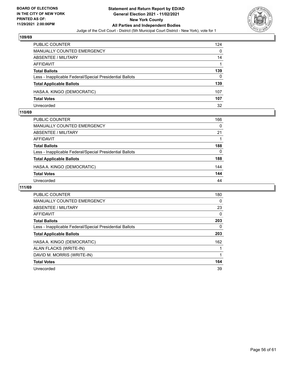

| <b>PUBLIC COUNTER</b>                                    | 124 |
|----------------------------------------------------------|-----|
| MANUALLY COUNTED EMERGENCY                               | 0   |
| ABSENTEE / MILITARY                                      | 14  |
| AFFIDAVIT                                                |     |
| <b>Total Ballots</b>                                     | 139 |
| Less - Inapplicable Federal/Special Presidential Ballots | 0   |
| <b>Total Applicable Ballots</b>                          | 139 |
| HASA A. KINGO (DEMOCRATIC)                               | 107 |
| <b>Total Votes</b>                                       | 107 |
| Unrecorded                                               | 32  |

## **110/69**

| PUBLIC COUNTER                                           | 166 |
|----------------------------------------------------------|-----|
| <b>MANUALLY COUNTED EMERGENCY</b>                        | 0   |
| ABSENTEE / MILITARY                                      | 21  |
| AFFIDAVIT                                                |     |
| <b>Total Ballots</b>                                     | 188 |
| Less - Inapplicable Federal/Special Presidential Ballots | 0   |
| <b>Total Applicable Ballots</b>                          | 188 |
| HASA A. KINGO (DEMOCRATIC)                               | 144 |
| <b>Total Votes</b>                                       | 144 |
| Unrecorded                                               | 44  |

| <b>PUBLIC COUNTER</b>                                    | 180      |
|----------------------------------------------------------|----------|
| <b>MANUALLY COUNTED EMERGENCY</b>                        | 0        |
| ABSENTEE / MILITARY                                      | 23       |
| <b>AFFIDAVIT</b>                                         | $\Omega$ |
| <b>Total Ballots</b>                                     | 203      |
| Less - Inapplicable Federal/Special Presidential Ballots | 0        |
| <b>Total Applicable Ballots</b>                          | 203      |
| HASA A. KINGO (DEMOCRATIC)                               | 162      |
| ALAN FLACKS (WRITE-IN)                                   |          |
| DAVID M. MORRIS (WRITE-IN)                               |          |
| <b>Total Votes</b>                                       | 164      |
| Unrecorded                                               | 39       |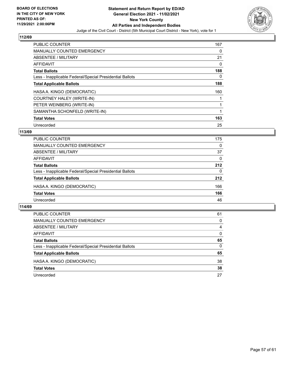

| <b>PUBLIC COUNTER</b>                                    | 167 |
|----------------------------------------------------------|-----|
| <b>MANUALLY COUNTED EMERGENCY</b>                        | 0   |
| ABSENTEE / MILITARY                                      | 21  |
| <b>AFFIDAVIT</b>                                         | 0   |
| <b>Total Ballots</b>                                     | 188 |
| Less - Inapplicable Federal/Special Presidential Ballots | 0   |
| <b>Total Applicable Ballots</b>                          | 188 |
| HASA A. KINGO (DEMOCRATIC)                               | 160 |
| COURTNEY HALEY (WRITE-IN)                                |     |
| PETER WEINBERG (WRITE-IN)                                |     |
| SAMANTHA SCHONFELD (WRITE-IN)                            |     |
| <b>Total Votes</b>                                       | 163 |
| Unrecorded                                               | 25  |

## **113/69**

| <b>PUBLIC COUNTER</b>                                    | 175      |
|----------------------------------------------------------|----------|
| MANUALLY COUNTED EMERGENCY                               | $\Omega$ |
| ABSENTEE / MILITARY                                      | 37       |
| AFFIDAVIT                                                | 0        |
| <b>Total Ballots</b>                                     | 212      |
| Less - Inapplicable Federal/Special Presidential Ballots | 0        |
| <b>Total Applicable Ballots</b>                          | 212      |
| HASA A. KINGO (DEMOCRATIC)                               | 166      |
| <b>Total Votes</b>                                       | 166      |
| Unrecorded                                               | 46       |

| <b>PUBLIC COUNTER</b>                                    | 61       |
|----------------------------------------------------------|----------|
| MANUALLY COUNTED EMERGENCY                               | $\Omega$ |
| ABSENTEE / MILITARY                                      | 4        |
| AFFIDAVIT                                                | 0        |
| <b>Total Ballots</b>                                     | 65       |
| Less - Inapplicable Federal/Special Presidential Ballots | $\Omega$ |
| <b>Total Applicable Ballots</b>                          | 65       |
| HASA A. KINGO (DEMOCRATIC)                               | 38       |
| <b>Total Votes</b>                                       | 38       |
| Unrecorded                                               | 27       |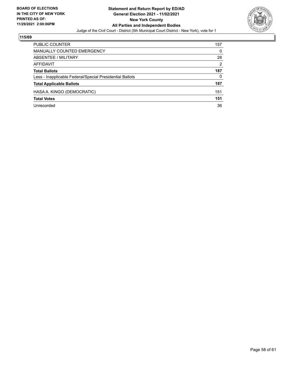

| PUBLIC COUNTER                                           | 157           |
|----------------------------------------------------------|---------------|
| <b>MANUALLY COUNTED EMERGENCY</b>                        | 0             |
| ABSENTEE / MILITARY                                      | 28            |
| AFFIDAVIT                                                | $\mathcal{P}$ |
| <b>Total Ballots</b>                                     | 187           |
| Less - Inapplicable Federal/Special Presidential Ballots | 0             |
| <b>Total Applicable Ballots</b>                          | 187           |
| HASA A. KINGO (DEMOCRATIC)                               | 151           |
| <b>Total Votes</b>                                       | 151           |
| Unrecorded                                               | 36            |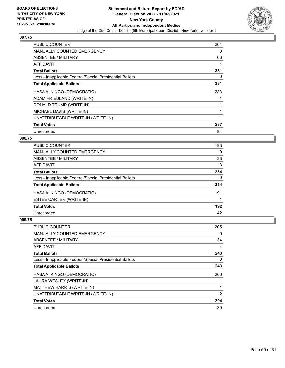

| <b>PUBLIC COUNTER</b>                                    | 264 |
|----------------------------------------------------------|-----|
| <b>MANUALLY COUNTED EMERGENCY</b>                        | 0   |
| ABSENTEE / MILITARY                                      | 66  |
| <b>AFFIDAVIT</b>                                         |     |
| <b>Total Ballots</b>                                     | 331 |
| Less - Inapplicable Federal/Special Presidential Ballots | 0   |
| <b>Total Applicable Ballots</b>                          | 331 |
| HASA A. KINGO (DEMOCRATIC)                               | 233 |
| ADAM FRIEDLAND (WRITE-IN)                                |     |
| DONALD TRUMP (WRITE-IN)                                  |     |
| MICHAEL DAVIS (WRITE-IN)                                 |     |
| UNATTRIBUTABLE WRITE-IN (WRITE-IN)                       |     |
| <b>Total Votes</b>                                       | 237 |
| Unrecorded                                               | 94  |

## **098/75**

| <b>PUBLIC COUNTER</b>                                    | 193 |
|----------------------------------------------------------|-----|
| <b>MANUALLY COUNTED EMERGENCY</b>                        | 0   |
| ABSENTEE / MILITARY                                      | 38  |
| AFFIDAVIT                                                | 3   |
| <b>Total Ballots</b>                                     | 234 |
| Less - Inapplicable Federal/Special Presidential Ballots | 0   |
| <b>Total Applicable Ballots</b>                          | 234 |
| HASA A. KINGO (DEMOCRATIC)                               | 191 |
| ESTEE CARTER (WRITE-IN)                                  |     |
| <b>Total Votes</b>                                       | 192 |
| Unrecorded                                               | 42  |

| PUBLIC COUNTER                                           | 205      |
|----------------------------------------------------------|----------|
| <b>MANUALLY COUNTED EMERGENCY</b>                        | $\Omega$ |
| ABSENTEE / MILITARY                                      | 34       |
| AFFIDAVIT                                                | 4        |
| <b>Total Ballots</b>                                     | 243      |
| Less - Inapplicable Federal/Special Presidential Ballots | 0        |
| <b>Total Applicable Ballots</b>                          | 243      |
| HASA A. KINGO (DEMOCRATIC)                               | 200      |
| LAURA WESLEY (WRITE-IN)                                  |          |
| MATTHEW HARRIS (WRITE-IN)                                | 1        |
| UNATTRIBUTABLE WRITE-IN (WRITE-IN)                       | 2        |
| <b>Total Votes</b>                                       | 204      |
| Unrecorded                                               | 39       |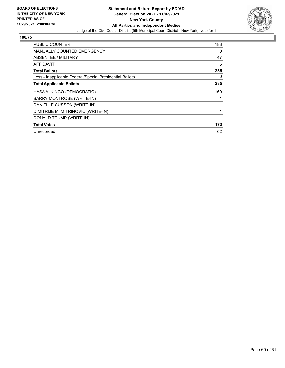

| <b>PUBLIC COUNTER</b>                                    | 183 |
|----------------------------------------------------------|-----|
| <b>MANUALLY COUNTED EMERGENCY</b>                        | 0   |
| <b>ABSENTEE / MILITARY</b>                               | 47  |
| AFFIDAVIT                                                | 5   |
| <b>Total Ballots</b>                                     | 235 |
| Less - Inapplicable Federal/Special Presidential Ballots | 0   |
| <b>Total Applicable Ballots</b>                          | 235 |
| HASA A. KINGO (DEMOCRATIC)                               | 169 |
| BARRY MONTROSE (WRITE-IN)                                |     |
| DANIELLE CUSSON (WRITE-IN)                               |     |
| DIMITRIJE M. MITRINOVIC (WRITE-IN)                       |     |
| DONALD TRUMP (WRITE-IN)                                  | 1   |
| <b>Total Votes</b>                                       | 173 |
| Unrecorded                                               | 62  |